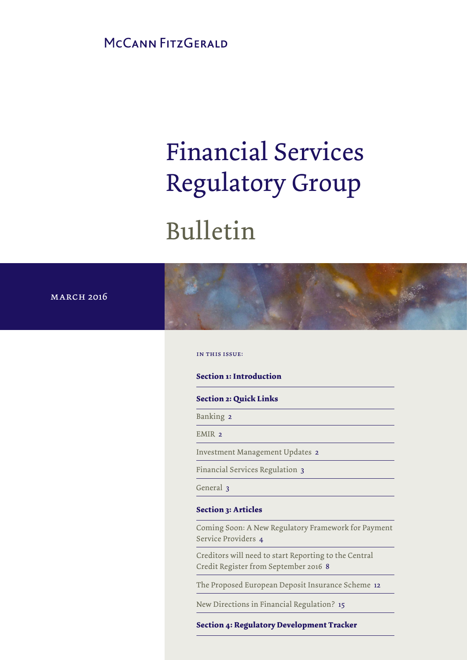MCCANN FITZGERALD

# Financial Services Regulatory Group

# Bulletin

**MARCH 2016** 

in this issue:

**Section 1: Introduction**

**Section 2: Quick Links**

Banking 2

EMIR<sub>2</sub>

Investment Management Updates 2

## **Section 3: Articles**

Coming Soon: A New Regulatory Framework for Payment Service Providers 4 Financial Services Regulation 3<br>
General 3<br>
Section 3: Articles<br>
Coming Soon: A New Regulatory Framewor<br>
Service Providers 4<br>
Creditors will need to start Reporting to the<br>
Credit Register from September 2016 8<br>
The Propos **Section 3: Articles**<br> **Section 3: Articles**<br>
Coming Soon: A New Regulatory Framework fc<br>
Service Providers 4<br>
Creditors will need to start Reporting to the Ce<br>
Credit Register from September 2016 8<br>
The Proposed European

Creditors will need to start Reporting to the Central Credit Register from September 2016 8

The Proposed European Deposit Insurance Scheme 12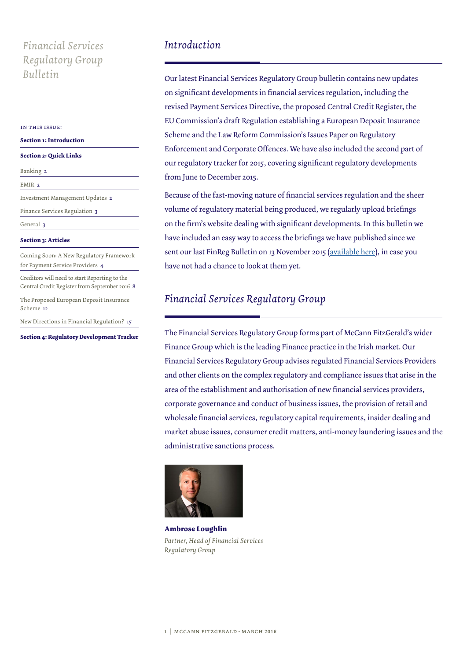# *Financial Services Introduction Regulatory Group Bulletin*

#### in this issue:

| <b>Section 1: Introduction</b>                                                                 |
|------------------------------------------------------------------------------------------------|
| <b>Section 2: Quick Links</b>                                                                  |
| Banking 2                                                                                      |
| EMIR <sub>2</sub>                                                                              |
| Investment Management Updates 2                                                                |
| Finance Services Regulation 3                                                                  |
| General 3                                                                                      |
| <b>Section 3: Articles</b>                                                                     |
| Coming Soon: A New Regulatory Framework<br>for Payment Service Providers 4                     |
| Creditors will need to start Reporting to the<br>Central Credit Register from September 2016 8 |
| The Proposed European Deposit Insurance<br>Scheme 12                                           |
| New Directions in Financial Regulation? 15                                                     |

**Section 4: Regulatory Development Tracker**

Our latest Financial Services Regulatory Group bulletin contains new updates on significant developments in financial services regulation, including the revised Payment Services Directive, the proposed Central Credit Register, the EU Commission's draft Regulation establishing a European Deposit Insurance Scheme and the Law Reform Commission's Issues Paper on Regulatory Enforcement and Corporate Offences. We have also included the second part of our regulatory tracker for 2015, covering significant regulatory developments from June to December 2015.

Because of the fast-moving nature of financial services regulation and the sheer volume of regulatory material being produced, we regularly upload briefings on the firm's website dealing with significant developments. In this bulletin we have included an easy way to access the briefings we have published since we sent our last FinReg Bulletin on 13 November 2015 ([available here](http://www.mccannfitzgerald.ie/knowledge/client-briefings/item/5896/financial-services-regulatory-group-bulletin.aspx)), in case you have not had a chance to look at them yet.

# *Financial Services Regulatory Group*

The Financial Services Regulatory Group forms part of McCann FitzGerald's wider Finance Group which is the leading Finance practice in the Irish market. Our Financial Services Regulatory Group advises regulated Financial Services Providers and other clients on the complex regulatory and compliance issues that arise in the area of the establishment and authorisation of new financial services providers, corporate governance and conduct of business issues, the provision of retail and wholesale financial services, regulatory capital requirements, insider dealing and market abuse issues, consumer credit matters, anti-money laundering issues and the administrative sanctions process.



**Ambrose Loughlin** *Partner, Head of Financial Services Regulatory Group*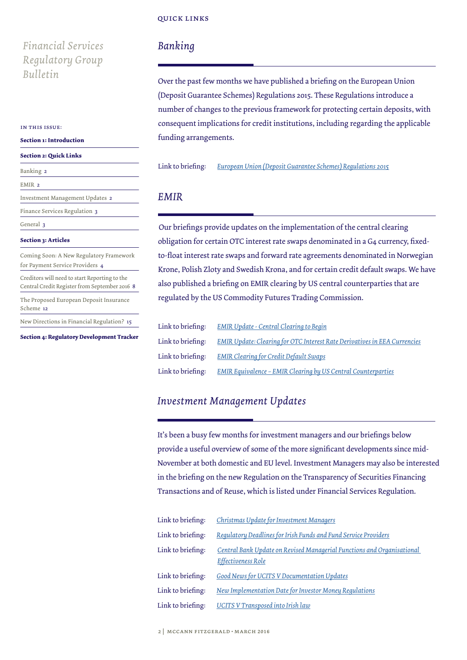### quick links

# *Financial Services Regulatory Group Bulletin*

#### in this issue:

### **Section 1: Introduction**

#### **Section 2: Quick Links**

| Banking 2                                                                                      |
|------------------------------------------------------------------------------------------------|
| EMIR <sub>2</sub>                                                                              |
| Investment Management Updates 2                                                                |
| Finance Services Regulation 3                                                                  |
| General 3                                                                                      |
| <b>Section 3: Articles</b>                                                                     |
| Coming Soon: A New Regulatory Framework<br>for Payment Service Providers 4                     |
| Creditors will need to start Reporting to the<br>Central Credit Register from September 2016 8 |
| The Proposed European Deposit Insurance<br>Scheme 12                                           |
| New Directions in Financial Regulation? 15                                                     |

**Section 4: Regulatory Development Tracker**

# *Banking*

Over the past few months we have published a briefing on the European Union (Deposit Guarantee Schemes) Regulations 2015. These Regulations introduce a number of changes to the previous framework for protecting certain deposits, with consequent implications for credit institutions, including regarding the applicable funding arrangements.

Link to briefing: *[European Union \(Deposit Guarantee Schemes\) Regulations 2015](http://www.mccannfitzgerald.ie/knowledge/client-briefings/item/5956/european-union--deposit-guarantee-schemes--re.aspx)*

# *EMIR*

Our briefings provide updates on the implementation of the central clearing obligation for certain OTC interest rate swaps denominated in a G4 currency, fixedto-float interest rate swaps and forward rate agreements denominated in Norwegian Krone, Polish Zloty and Swedish Krona, and for certain credit default swaps. We have also published a briefing on EMIR clearing by US central counterparties that are regulated by the US Commodity Futures Trading Commission.

| Link to briefing: | <b>EMIR Update - Central Clearing to Begin</b>                                   |
|-------------------|----------------------------------------------------------------------------------|
| Link to briefing: | <b>EMIR Update: Clearing for OTC Interest Rate Derivatives in EEA Currencies</b> |
| Link to briefing: | <b>EMIR Clearing for Credit Default Swaps</b>                                    |
| Link to briefing: | <b>EMIR Equivalence - EMIR Clearing by US Central Counterparties</b>             |

# *Investment Management Updates*

It's been a busy few months for investment managers and our briefings below provide a useful overview of some of the more significant developments since mid-November at both domestic and EU level. Investment Managers may also be interested in the briefing on the new Regulation on the Transparency of Securities Financing Transactions and of Reuse, which is listed under Financial Services Regulation.

| Link to briefing: | Christmas Update for Investment Managers                                                            |
|-------------------|-----------------------------------------------------------------------------------------------------|
| Link to briefing: | Regulatory Deadlines for Irish Funds and Fund Service Providers                                     |
| Link to briefing: | Central Bank Update on Revised Managerial Functions and Organisational<br><b>Effectiveness Role</b> |
| Link to briefing: | <b>Good News for UCITS V Documentation Updates</b>                                                  |
| Link to briefing: | New Implementation Date for Investor Money Regulations                                              |
| Link to briefing: | UCITS V Transposed into Irish law                                                                   |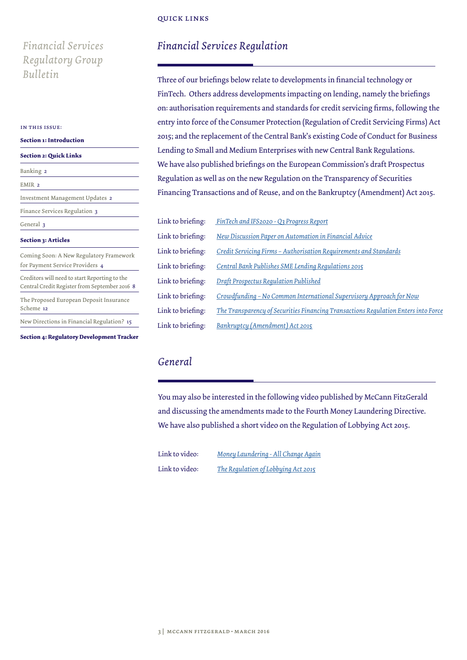### quick links

# *Financial Services Regulatory Group Bulletin*

#### in this issue:

| <b>Section 1: Introduction</b>                                                                 |  |
|------------------------------------------------------------------------------------------------|--|
| <b>Section 2: Quick Links</b>                                                                  |  |
| Banking 2                                                                                      |  |
| EMIR <sub>2</sub>                                                                              |  |
| Investment Management Updates 2                                                                |  |
| Finance Services Regulation 3                                                                  |  |
| General 3                                                                                      |  |
| <b>Section 3: Articles</b>                                                                     |  |
| Coming Soon: A New Regulatory Framework<br>for Payment Service Providers 4                     |  |
| Creditors will need to start Reporting to the<br>Central Credit Register from September 2016 8 |  |
| The Proposed European Deposit Insurance<br>Scheme 12                                           |  |
| New Directions in Financial Regulation? 15                                                     |  |

**Section 4: Regulatory Development Tracker**

# *Financial Services Regulation*

Three of our briefings below relate to developments in financial technology or FinTech. Others address developments impacting on lending, namely the briefings on: authorisation requirements and standards for credit servicing firms, following the entry into force of the Consumer Protection (Regulation of Credit Servicing Firms) Act 2015; and the replacement of the Central Bank's existing Code of Conduct for Business Lending to Small and Medium Enterprises with new Central Bank Regulations. We have also published briefings on the European Commission's draft Prospectus Regulation as well as on the new Regulation on the Transparency of Securities Financing Transactions and of Reuse, and on the Bankruptcy (Amendment) Act 2015.

| Link to briefing: | FinTech and IFS2020 - Q3 Progress Report                                           |
|-------------------|------------------------------------------------------------------------------------|
| Link to briefing: | New Discussion Paper on Automation in Financial Advice                             |
| Link to briefing: | Credit Servicing Firms - Authorisation Requirements and Standards                  |
| Link to briefing: | Central Bank Publishes SME Lending Regulations 2015                                |
| Link to briefing: | Draft Prospectus Regulation Published                                              |
| Link to briefing: | Crowdfunding - No Common International Supervisory Approach for Now                |
| Link to briefing: | The Transparency of Securities Financing Transactions Regulation Enters into Force |
| Link to briefing: | Bankruptcy (Amendment) Act 2015                                                    |

# *General*

You may also be interested in the following video published by McCann FitzGerald and discussing the amendments made to the Fourth Money Laundering Directive. We have also published a short video on the Regulation of Lobbying Act 2015.

Link to video: *[Money Laundering - All Change Again](http://www.mccannfitzgerald.ie/knowledge/podcasts---webinars/item/5906/summary-briefing---money-laundering---all-cha.aspx)* Link to video: *[The Regulation of Lobbying Act 2015](http://www.mccannfitzgerald.ie/knowledge/podcasts---webinars/item/5908/summary-briefing--the-regulation-of-lobbying-.aspx)*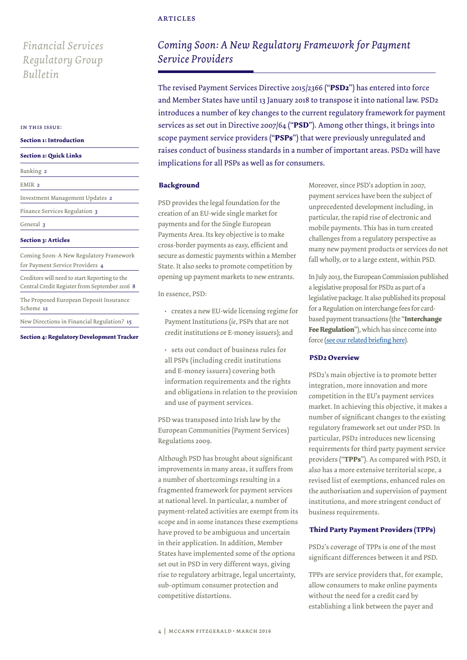# *Financial Services Regulatory Group Bulletin*

#### in this issue:

#### **Section 1: Introduction**

#### **Section 2: Quick Links**

| Banking 2                                                                                      |
|------------------------------------------------------------------------------------------------|
| EMIR <sub>2</sub>                                                                              |
| Investment Management Updates 2                                                                |
| Finance Services Regulation 3                                                                  |
| General 3                                                                                      |
| <b>Section 3: Articles</b>                                                                     |
| Coming Soon: A New Regulatory Framework<br>for Payment Service Providers 4                     |
| Creditors will need to start Reporting to the<br>Central Credit Register from September 2016 8 |
| The Proposed European Deposit Insurance<br>Scheme 12                                           |
| New Directions in Financial Regulation? 15                                                     |

**Section 4: Regulatory Development Tracker**

# *Coming Soon: A New Regulatory Framework for Payment Service Providers*

The revised Payment Services Directive 2015/2366 ("**PSD2**") has entered into force and Member States have until 13 January 2018 to transpose it into national law. PSD2 introduces a number of key changes to the current regulatory framework for payment services as set out in Directive 2007/64 ("**PSD**"). Among other things, it brings into scope payment service providers ("**PSPs**") that were previously unregulated and raises conduct of business standards in a number of important areas. PSD2 will have implications for all PSPs as well as for consumers.

### **Background**

PSD provides the legal foundation for the creation of an EU-wide single market for payments and for the Single European Payments Area. Its key objective is to make cross-border payments as easy, efficient and secure as domestic payments within a Member State. It also seeks to promote competition by opening up payment markets to new entrants.

In essence, PSD:

• creates a new EU-wide licensing regime for Payment Institutions (*ie*, PSPs that are not credit institutions or E-money issuers); and

• sets out conduct of business rules for all PSPs (including credit institutions and E-money issuers) covering both information requirements and the rights and obligations in relation to the provision and use of payment services.

PSD was transposed into Irish law by the European Communities (Payment Services) Regulations 2009.

Although PSD has brought about significant improvements in many areas, it suffers from a number of shortcomings resulting in a fragmented framework for payment services at national level. In particular, a number of payment-related activities are exempt from its scope and in some instances these exemptions have proved to be ambiguous and uncertain in their application. In addition, Member States have implemented some of the options set out in PSD in very different ways, giving rise to regulatory arbitrage, legal uncertainty, sub-optimum consumer protection and competitive distortions.

Moreover, since PSD's adoption in 2007, payment services have been the subject of unprecedented development including, in particular, the rapid rise of electronic and mobile payments. This has in turn created challenges from a regulatory perspective as many new payment products or services do not fall wholly, or to a large extent, within PSD.

In July 2013, the European Commission published a legislative proposal for PSD2 as part of a legislative package. It also published its proposal for a Regulation on interchange fees for cardbased payment transactions (the "**Interchange Fee Regulation**"), which has since come into force [\(see our related briefing here](http://www.mccannfitzgerald.ie/knowledge/client-briefings/item/5587/interchange-fees---caps-and-competition-in-ca.aspx)).

### **PSD2 Overview**

PSD2's main objective is to promote better integration, more innovation and more competition in the EU's payment services market. In achieving this objective, it makes a number of significant changes to the existing regulatory framework set out under PSD. In particular, PSD2 introduces new licensing requirements for third party payment service providers ("**TPPs**"). As compared with PSD, it also has a more extensive territorial scope, a revised list of exemptions, enhanced rules on the authorisation and supervision of payment institutions, and more stringent conduct of business requirements.

### **Third Party Payment Providers (TPPs)**

PSD2's coverage of TPPs is one of the most significant differences between it and PSD.

TPPs are service providers that, for example, allow consumers to make online payments without the need for a credit card by establishing a link between the payer and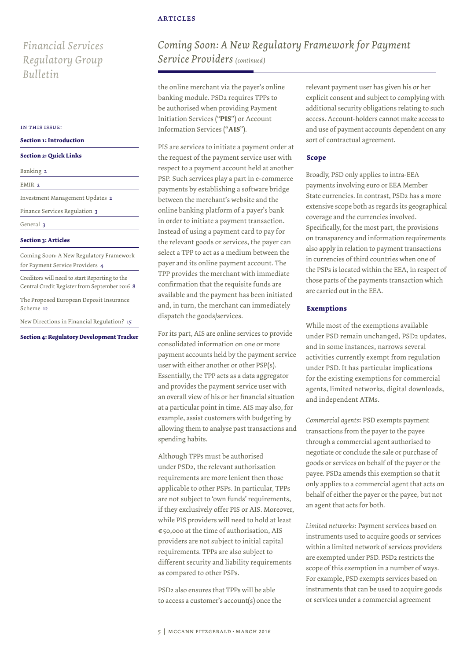# *Financial Services Regulatory Group Bulletin*

#### in this issue:

| <b>Section 1: Introduction</b> |  |  |
|--------------------------------|--|--|
|                                |  |  |

#### **Section 2: Quick Links**

| Banking 2                                                                                      |
|------------------------------------------------------------------------------------------------|
| EMIR <sub>2</sub>                                                                              |
| Investment Management Updates 2                                                                |
| Finance Services Regulation 3                                                                  |
| General 3                                                                                      |
| <b>Section 3: Articles</b>                                                                     |
| Coming Soon: A New Regulatory Framework<br>for Payment Service Providers 4                     |
| Creditors will need to start Reporting to the<br>Central Credit Register from September 2016 8 |
| The Proposed European Deposit Insurance<br>Scheme 12                                           |
| New Directions in Financial Regulation? 15                                                     |

**Section 4: Regulatory Development Tracker**

# *Coming Soon: A New Regulatory Framework for Payment Service Providers (continued)*

the online merchant via the payer's online banking module. PSD2 requires TPPs to be authorised when providing Payment Initiation Services ("**PIS**") or Account Information Services ("**AIS**").

PIS are services to initiate a payment order at the request of the payment service user with respect to a payment account held at another PSP. Such services play a part in e-commerce payments by establishing a software bridge between the merchant's website and the online banking platform of a payer's bank in order to initiate a payment transaction. Instead of using a payment card to pay for the relevant goods or services, the payer can select a TPP to act as a medium between the payer and its online payment account. The TPP provides the merchant with immediate confirmation that the requisite funds are available and the payment has been initiated and, in turn, the merchant can immediately dispatch the goods/services.

For its part, AIS are online services to provide consolidated information on one or more payment accounts held by the payment service user with either another or other PSP(s). Essentially, the TPP acts as a data aggregator and provides the payment service user with an overall view of his or her financial situation at a particular point in time. AIS may also, for example, assist customers with budgeting by allowing them to analyse past transactions and spending habits.

Although TPPs must be authorised under PSD2, the relevant authorisation requirements are more lenient then those applicable to other PSPs. In particular, TPPs are not subject to 'own funds' requirements, if they exclusively offer PIS or AIS. Moreover, while PIS providers will need to hold at least €50,000 at the time of authorisation, AIS providers are not subject to initial capital requirements. TPPs are also subject to different security and liability requirements as compared to other PSPs.

PSD2 also ensures that TPPs will be able to access a customer's account(s) once the relevant payment user has given his or her explicit consent and subject to complying with additional security obligations relating to such access. Account-holders cannot make access to and use of payment accounts dependent on any sort of contractual agreement.

### **Scope**

Broadly, PSD only applies to intra-EEA payments involving euro or EEA Member State currencies. In contrast, PSD2 has a more extensive scope both as regards its geographical coverage and the currencies involved. Specifically, for the most part, the provisions on transparency and information requirements also apply in relation to payment transactions in currencies of third countries when one of the PSPs is located within the EEA, in respect of those parts of the payments transaction which are carried out in the EEA.

### **Exemptions**

While most of the exemptions available under PSD remain unchanged, PSD2 updates, and in some instances, narrows several activities currently exempt from regulation under PSD. It has particular implications for the existing exemptions for commercial agents, limited networks, digital downloads, and independent ATMs.

*Commercial agents*: PSD exempts payment transactions from the payer to the payee through a commercial agent authorised to negotiate or conclude the sale or purchase of goods or services on behalf of the payer or the payee. PSD2 amends this exemption so that it only applies to a commercial agent that acts on behalf of either the payer or the payee, but not an agent that acts for both.

*Limited networks*: Payment services based on instruments used to acquire goods or services within a limited network of services providers are exempted under PSD. PSD2 restricts the scope of this exemption in a number of ways. For example, PSD exempts services based on instruments that can be used to acquire goods or services under a commercial agreement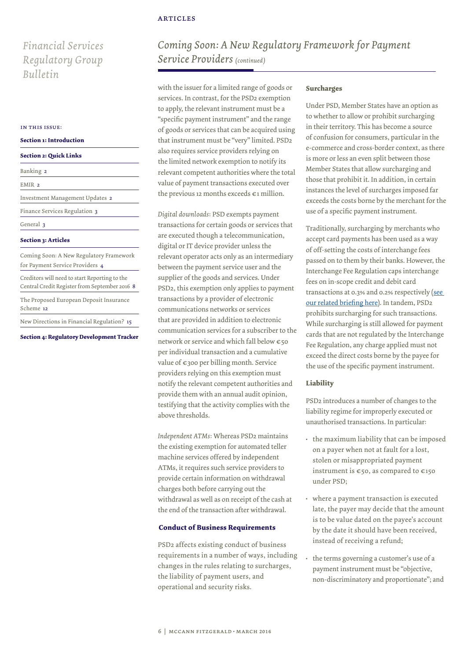# *Financial Services Regulatory Group Bulletin*

#### in this issue:

### **Section 1: Introduction**

#### **Section 2: Quick Links**

| Banking 2                                                                                      |
|------------------------------------------------------------------------------------------------|
| EMIR <sub>2</sub>                                                                              |
| Investment Management Updates 2                                                                |
| Finance Services Regulation 3                                                                  |
| General 3                                                                                      |
| <b>Section 3: Articles</b>                                                                     |
| Coming Soon: A New Regulatory Framework<br>for Payment Service Providers 4                     |
| Creditors will need to start Reporting to the<br>Central Credit Register from September 2016 8 |
| The Proposed European Deposit Insurance<br>Scheme 12                                           |
| New Directions in Financial Regulation? 15                                                     |

#### **Section 3: Articles**

**Section 4: Regulatory Development Tracker**

# *Coming Soon: A New Regulatory Framework for Payment Service Providers (continued)*

with the issuer for a limited range of goods or services. In contrast, for the PSD2 exemption to apply, the relevant instrument must be a "specific payment instrument" and the range of goods or services that can be acquired using that instrument must be "very" limited. PSD2 also requires service providers relying on the limited network exemption to notify its relevant competent authorities where the total value of payment transactions executed over the previous 12 months exceeds €1 million.

*Digital downloads*: PSD exempts payment transactions for certain goods or services that are executed though a telecommunication, digital or IT device provider unless the relevant operator acts only as an intermediary between the payment service user and the supplier of the goods and services. Under PSD2, this exemption only applies to payment transactions by a provider of electronic communications networks or services that are provided in addition to electronic communication services for a subscriber to the network or service and which fall below €50 per individual transaction and a cumulative value of €300 per billing month. Service providers relying on this exemption must notify the relevant competent authorities and provide them with an annual audit opinion, testifying that the activity complies with the above thresholds.

*Independent ATMs*: Whereas PSD2 maintains the existing exemption for automated teller machine services offered by independent ATMs, it requires such service providers to provide certain information on withdrawal charges both before carrying out the withdrawal as well as on receipt of the cash at the end of the transaction after withdrawal.

### **Conduct of Business Requirements**

PSD2 affects existing conduct of business requirements in a number of ways, including changes in the rules relating to surcharges, the liability of payment users, and operational and security risks.

#### **Surcharges**

Under PSD, Member States have an option as to whether to allow or prohibit surcharging in their territory. This has become a source of confusion for consumers, particular in the e-commerce and cross-border context, as there is more or less an even split between those Member States that allow surcharging and those that prohibit it. In addition, in certain instances the level of surcharges imposed far exceeds the costs borne by the merchant for the use of a specific payment instrument.

Traditionally, surcharging by merchants who accept card payments has been used as a way of off-setting the costs of interchange fees passed on to them by their banks. However, the Interchange Fee Regulation caps interchange fees on in-scope credit and debit card transactions at 0.3% and 0.2% respectively ([see](http://www.mccannfitzgerald.ie/knowledge/client-briefings/item/5587/interchange-fees---caps-and-competition-in-ca.aspx)  [our related briefing here\)](http://www.mccannfitzgerald.ie/knowledge/client-briefings/item/5587/interchange-fees---caps-and-competition-in-ca.aspx). In tandem, PSD2 prohibits surcharging for such transactions. While surcharging is still allowed for payment cards that are not regulated by the Interchange Fee Regulation, any charge applied must not exceed the direct costs borne by the payee for the use of the specific payment instrument.

### **Liability**

PSD2 introduces a number of changes to the liability regime for improperly executed or unauthorised transactions. In particular:

- the maximum liability that can be imposed on a payer when not at fault for a lost, stolen or misappropriated payment instrument is €50, as compared to €150 under PSD;
- where a payment transaction is executed late, the payer may decide that the amount is to be value dated on the payee's account by the date it should have been received, instead of receiving a refund;
- the terms governing a customer's use of a payment instrument must be "objective, non-discriminatory and proportionate"; and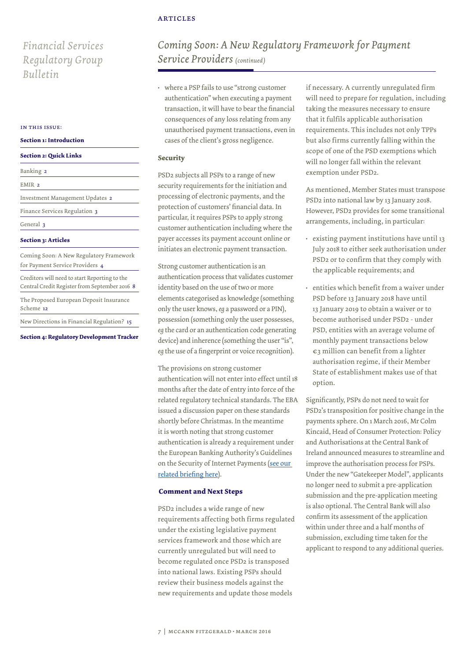# *Financial Services Regulatory Group Bulletin*

#### in this issue:

#### **Section 1: Introduction**

#### **Section 2: Quick Links**

| Banking 2                                                                                      |
|------------------------------------------------------------------------------------------------|
| EMIR <sub>2</sub>                                                                              |
| Investment Management Updates 2                                                                |
| Finance Services Regulation 3                                                                  |
| General 3                                                                                      |
| <b>Section 3: Articles</b>                                                                     |
| Coming Soon: A New Regulatory Framework<br>for Payment Service Providers 4                     |
| Creditors will need to start Reporting to the<br>Central Credit Register from September 2016 8 |
| The Proposed European Deposit Insurance<br>Scheme 12                                           |
| New Directions in Financial Regulation? 15                                                     |

**Section 4: Regulatory Development Tracker**

# *Coming Soon: A New Regulatory Framework for Payment Service Providers (continued)*

• where a PSP fails to use "strong customer authentication" when executing a payment transaction, it will have to bear the financial consequences of any loss relating from any unauthorised payment transactions, even in cases of the client's gross negligence.

### **Security**

PSD2 subjects all PSPs to a range of new security requirements for the initiation and processing of electronic payments, and the protection of customers' financial data. In particular, it requires PSPs to apply strong customer authentication including where the payer accesses its payment account online or initiates an electronic payment transaction.

Strong customer authentication is an authentication process that validates customer identity based on the use of two or more elements categorised as knowledge (something only the user knows, *eg* a password or a PIN), possession (something only the user possesses, *eg* the card or an authentication code generating device) and inherence (something the user "is", *eg* the use of a fingerprint or voice recognition).

The provisions on strong customer authentication will not enter into effect until 18 months after the date of entry into force of the related regulatory technical standards. The EBA issued a discussion paper on these standards shortly before Christmas. In the meantime it is worth noting that strong customer authentication is already a requirement under the European Banking Authority's Guidelines on the Security of Internet Payments ([see our](http://www.mccannfitzgerald.ie/knowledge/client-briefings/item/5669/financial-services-regulatory-group-bulletin.aspx)  [related briefing here\)](http://www.mccannfitzgerald.ie/knowledge/client-briefings/item/5669/financial-services-regulatory-group-bulletin.aspx).

### **Comment and Next Steps**

PSD2 includes a wide range of new requirements affecting both firms regulated under the existing legislative payment services framework and those which are currently unregulated but will need to become regulated once PSD2 is transposed into national laws. Existing PSPs should review their business models against the new requirements and update those models

if necessary. A currently unregulated firm will need to prepare for regulation, including taking the measures necessary to ensure that it fulfils applicable authorisation requirements. This includes not only TPPs but also firms currently falling within the scope of one of the PSD exemptions which will no longer fall within the relevant exemption under PSD2.

As mentioned, Member States must transpose PSD2 into national law by 13 January 2018. However, PSD2 provides for some transitional arrangements, including, in particular:

- existing payment institutions have until 13 July 2018 to either seek authorisation under PSD2 or to confirm that they comply with the applicable requirements; and
- entities which benefit from a waiver under PSD before 13 January 2018 have until 13 January 2019 to obtain a waiver or to become authorised under PSD2 - under PSD, entities with an average volume of monthly payment transactions below €3 million can benefit from a lighter authorisation regime, if their Member State of establishment makes use of that option.

Significantly, PSPs do not need to wait for PSD2's transposition for positive change in the payments sphere. On 1 March 2016, Mr Colm Kincaid, Head of Consumer Protection: Policy and Authorisations at the Central Bank of Ireland announced measures to streamline and improve the authorisation process for PSPs. Under the new "Gatekeeper Model", applicants no longer need to submit a pre-application submission and the pre-application meeting is also optional. The Central Bank will also confirm its assessment of the application within under three and a half months of submission, excluding time taken for the applicant to respond to any additional queries.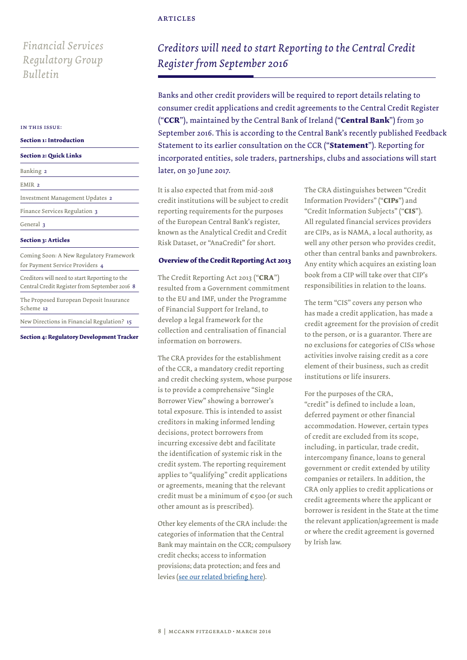# *Financial Services Regulatory Group Bulletin*

#### in this issue:

#### **Section 1: Introduction**

#### **Section 2: Quick Links**

| Banking 2                                                                                      |
|------------------------------------------------------------------------------------------------|
| EMIR <sub>2</sub>                                                                              |
| Investment Management Updates 2                                                                |
| Finance Services Regulation 3                                                                  |
| General 3                                                                                      |
| <b>Section 3: Articles</b>                                                                     |
| Coming Soon: A New Regulatory Framework<br>for Payment Service Providers 4                     |
| Creditors will need to start Reporting to the<br>Central Credit Register from September 2016 8 |
| The Proposed European Deposit Insurance<br>Scheme 12                                           |
| New Directions in Financial Regulation? 15                                                     |

### **Section 3: Articles**

**Section 4: Regulatory Development Tracker**

# *Creditors will need to start Reporting to the Central Credit Register from September 2016*

Banks and other credit providers will be required to report details relating to consumer credit applications and credit agreements to the Central Credit Register ("**CCR**"), maintained by the Central Bank of Ireland ("**Central Bank**") from 30 September 2016. This is according to the Central Bank's recently published Feedback Statement to its earlier consultation on the CCR ("**Statement**"). Reporting for incorporated entities, sole traders, partnerships, clubs and associations will start later, on 30 June 2017.

It is also expected that from mid-2018 credit institutions will be subject to credit reporting requirements for the purposes of the European Central Bank's register, known as the Analytical Credit and Credit Risk Dataset, or "AnaCredit" for short.

### **Overview of the Credit Reporting Act 2013**

The Credit Reporting Act 2013 ("**CRA**") resulted from a Government commitment to the EU and IMF, under the Programme of Financial Support for Ireland, to develop a legal framework for the collection and centralisation of financial information on borrowers.

The CRA provides for the establishment of the CCR, a mandatory credit reporting and credit checking system, whose purpose is to provide a comprehensive "Single Borrower View" showing a borrower's total exposure. This is intended to assist creditors in making informed lending decisions, protect borrowers from incurring excessive debt and facilitate the identification of systemic risk in the credit system. The reporting requirement applies to "qualifying" credit applications or agreements, meaning that the relevant credit must be a minimum of €500 (or such other amount as is prescribed).

Other key elements of the CRA include: the categories of information that the Central Bank may maintain on the CCR; compulsory credit checks; access to information provisions; data protection; and fees and levies ([see our related briefing here](http://www.mccannfitzgerald.ie/knowledge/client-briefings/item/4820/credit-reporting-act-2013.aspx)).

The CRA distinguishes between "Credit Information Providers" ("**CIPs**") and "Credit Information Subjects" ("**CIS**"). All regulated financial services providers are CIPs, as is NAMA, a local authority, as well any other person who provides credit, other than central banks and pawnbrokers. Any entity which acquires an existing loan book from a CIP will take over that CIP's responsibilities in relation to the loans.

The term "CIS" covers any person who has made a credit application, has made a credit agreement for the provision of credit to the person, or is a guarantor. There are no exclusions for categories of CISs whose activities involve raising credit as a core element of their business, such as credit institutions or life insurers.

For the purposes of the CRA, "credit" is defined to include a loan, deferred payment or other financial accommodation. However, certain types of credit are excluded from its scope, including, in particular, trade credit, intercompany finance, loans to general government or credit extended by utility companies or retailers. In addition, the CRA only applies to credit applications or credit agreements where the applicant or borrower is resident in the State at the time the relevant application/agreement is made or where the credit agreement is governed by Irish law.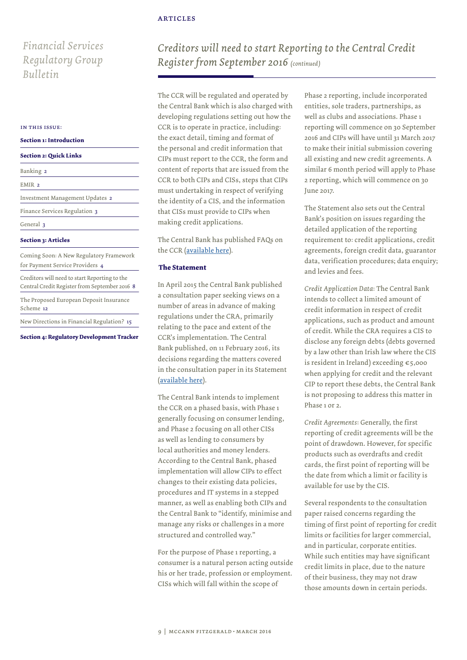# *Financial Services Regulatory Group Bulletin*

#### in this issue:

#### **Section 1: Introduction**

#### **Section 2: Quick Links**

| Banking 2                                                                                      |
|------------------------------------------------------------------------------------------------|
| EMIR <sub>2</sub>                                                                              |
| Investment Management Updates 2                                                                |
| Finance Services Regulation 3                                                                  |
| General 3                                                                                      |
| <b>Section 3: Articles</b>                                                                     |
| Coming Soon: A New Regulatory Framework<br>for Payment Service Providers 4                     |
| Creditors will need to start Reporting to the<br>Central Credit Register from September 2016 8 |
| The Proposed European Deposit Insurance<br>Scheme 12                                           |
| New Directions in Financial Regulation? 15                                                     |

### **Section 3: Articles**

**Section 4: Regulatory Development Tracker**

# *Creditors will need to start Reporting to the Central Credit Register from September 2016 (continued)*

The CCR will be regulated and operated by the Central Bank which is also charged with developing regulations setting out how the CCR is to operate in practice, including: the exact detail, timing and format of the personal and credit information that CIPs must report to the CCR, the form and content of reports that are issued from the CCR to both CIPs and CISs, steps that CIPs must undertaking in respect of verifying the identity of a CIS, and the information that CISs must provide to CIPs when making credit applications.

The Central Bank has published FAQs on the CCR ([available here](https://www.centralbank.ie/press-area/press-releases/Documents/Central%20Credit%20Register%20-%20FAQs.pdf)).

### **The Statement**

In April 2015 the Central Bank published a consultation paper seeking views on a number of areas in advance of making regulations under the CRA, primarily relating to the pace and extent of the CCR's implementation. The Central Bank published, on 11 February 2016, its decisions regarding the matters covered in the consultation paper in its Statement ([available here](https://www.centralbank.ie/press-area/press-releases/Pages/FeedbackonCentralCreditRegisterconsultationpublished.aspx)).

The Central Bank intends to implement the CCR on a phased basis, with Phase 1 generally focusing on consumer lending, and Phase 2 focusing on all other CISs as well as lending to consumers by local authorities and money lenders. According to the Central Bank, phased implementation will allow CIPs to effect changes to their existing data policies, procedures and IT systems in a stepped manner, as well as enabling both CIPs and the Central Bank to "identify, minimise and manage any risks or challenges in a more structured and controlled way."

For the purpose of Phase 1 reporting, a consumer is a natural person acting outside his or her trade, profession or employment. CISs which will fall within the scope of

Phase 2 reporting, include incorporated entities, sole traders, partnerships, as well as clubs and associations. Phase 1 reporting will commence on 30 September 2016 and CIPs will have until 31 March 2017 to make their initial submission covering all existing and new credit agreements. A similar 6 month period will apply to Phase 2 reporting, which will commence on 30 June 2017.

The Statement also sets out the Central Bank's position on issues regarding the detailed application of the reporting requirement to: credit applications, credit agreements, foreign credit data, guarantor data, verification procedures; data enquiry; and levies and fees.

*Credit Application Data*: The Central Bank intends to collect a limited amount of credit information in respect of credit applications, such as product and amount of credit. While the CRA requires a CIS to disclose any foreign debts (debts governed by a law other than Irish law where the CIS is resident in Ireland) exceeding €5,000 when applying for credit and the relevant CIP to report these debts, the Central Bank is not proposing to address this matter in Phase 1 or 2.

*Credit Agreements*: Generally, the first reporting of credit agreements will be the point of drawdown. However, for specific products such as overdrafts and credit cards, the first point of reporting will be the date from which a limit or facility is available for use by the CIS.

Several respondents to the consultation paper raised concerns regarding the timing of first point of reporting for credit limits or facilities for larger commercial, and in particular, corporate entities. While such entities may have significant credit limits in place, due to the nature of their business, they may not draw those amounts down in certain periods.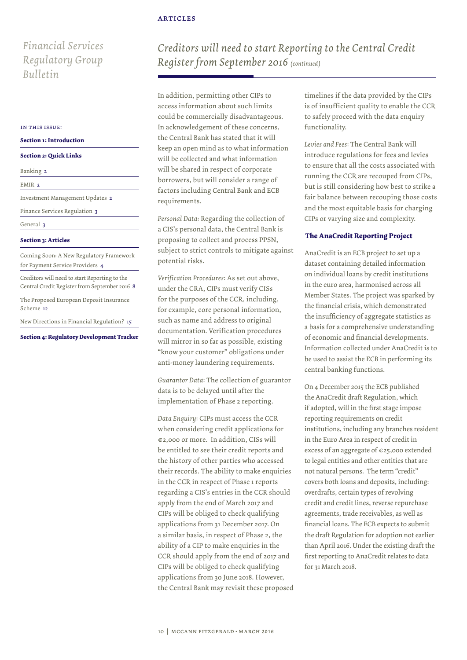# *Financial Services Regulatory Group Bulletin*

#### in this issue:

| <b>Section 1: Introduction</b> |  |  |  |  |
|--------------------------------|--|--|--|--|
|                                |  |  |  |  |

| <b>Section 2: Quick Links</b> |  |
|-------------------------------|--|
|-------------------------------|--|

| Banking 2                                                                                      |
|------------------------------------------------------------------------------------------------|
| EMIR <sub>2</sub>                                                                              |
| Investment Management Updates 2                                                                |
| Finance Services Regulation 3                                                                  |
| General 3                                                                                      |
| <b>Section 3: Articles</b>                                                                     |
| Coming Soon: A New Regulatory Framework<br>for Payment Service Providers 4                     |
| Creditors will need to start Reporting to the<br>Central Credit Register from September 2016 8 |
| The Proposed European Deposit Insurance<br>Scheme 12                                           |
| New Directions in Financial Regulation? 15                                                     |

**Section 4: Regulatory Development Tracker**

*Creditors will need to start Reporting to the Central Credit Register from September 2016 (continued)*

In addition, permitting other CIPs to access information about such limits could be commercially disadvantageous. In acknowledgement of these concerns, the Central Bank has stated that it will keep an open mind as to what information will be collected and what information will be shared in respect of corporate borrowers, but will consider a range of factors including Central Bank and ECB requirements.

*Personal Data*: Regarding the collection of a CIS's personal data, the Central Bank is proposing to collect and process PPSN, subject to strict controls to mitigate against potential risks.

*Verification Procedures*: As set out above, under the CRA, CIPs must verify CISs for the purposes of the CCR, including, for example, core personal information, such as name and address to original documentation. Verification procedures will mirror in so far as possible, existing "know your customer" obligations under anti-money laundering requirements.

*Guarantor Data*: The collection of guarantor data is to be delayed until after the implementation of Phase 2 reporting.

*Data Enquiry*: CIPs must access the CCR when considering credit applications for €2,000 or more. In addition, CISs will be entitled to see their credit reports and the history of other parties who accessed their records. The ability to make enquiries in the CCR in respect of Phase 1 reports regarding a CIS's entries in the CCR should apply from the end of March 2017 and CIPs will be obliged to check qualifying applications from 31 December 2017. On a similar basis, in respect of Phase 2, the ability of a CIP to make enquiries in the CCR should apply from the end of 2017 and CIPs will be obliged to check qualifying applications from 30 June 2018. However, the Central Bank may revisit these proposed timelines if the data provided by the CIPs is of insufficient quality to enable the CCR to safely proceed with the data enquiry functionality.

*Levies and Fees*: The Central Bank will introduce regulations for fees and levies to ensure that all the costs associated with running the CCR are recouped from CIPs, but is still considering how best to strike a fair balance between recouping those costs and the most equitable basis for charging CIPs or varying size and complexity.

## **The AnaCredit Reporting Project**

AnaCredit is an ECB project to set up a dataset containing detailed information on individual loans by credit institutions in the euro area, harmonised across all Member States. The project was sparked by the financial crisis, which demonstrated the insufficiency of aggregate statistics as a basis for a comprehensive understanding of economic and financial developments. Information collected under AnaCredit is to be used to assist the ECB in performing its central banking functions.

On 4 December 2015 the ECB published the AnaCredit draft Regulation, which if adopted, will in the first stage impose reporting requirements on credit institutions, including any branches resident in the Euro Area in respect of credit in excess of an aggregate of €25,000 extended to legal entities and other entities that are not natural persons. The term "credit" covers both loans and deposits, including: overdrafts, certain types of revolving credit and credit lines, reverse repurchase agreements, trade receivables, as well as financial loans. The ECB expects to submit the draft Regulation for adoption not earlier than April 2016. Under the existing draft the first reporting to AnaCredit relates to data for 31 March 2018.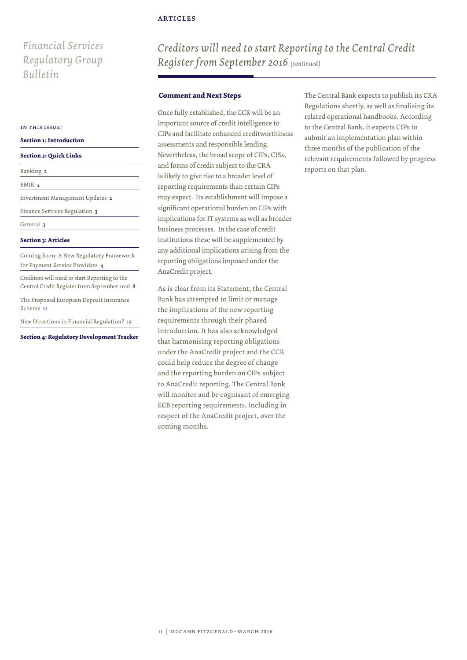# *Financial Services Regulatory Group Bulletin*

#### in this issue:

#### **Section 1: Introduction**

|  | <b>Section 2: Quick Links</b> |  |  |  |
|--|-------------------------------|--|--|--|
|--|-------------------------------|--|--|--|

| Banking 2                                                                                      |
|------------------------------------------------------------------------------------------------|
| EMIR <sub>2</sub>                                                                              |
| Investment Management Updates 2                                                                |
| Finance Services Regulation 3                                                                  |
| General 3                                                                                      |
| <b>Section 3: Articles</b>                                                                     |
| Coming Soon: A New Regulatory Framework<br>for Payment Service Providers 4                     |
| Creditors will need to start Reporting to the<br>Central Credit Register from September 2016 8 |
| The Proposed European Deposit Insurance<br>Scheme 12                                           |
| New Directions in Financial Regulation? 15                                                     |

**Section 4: Regulatory Development Tracker**

*Creditors will need to start Reporting to the Central Credit Register from September 2016 (continued)*

### **Comment and Next Steps**

Once fully established, the CCR will be an important source of credit intelligence to CIPs and facilitate enhanced creditworthiness assessments and responsible lending. Nevertheless, the broad scope of CIPs, CISs, and forms of credit subject to the CRA is likely to give rise to a broader level of reporting requirements than certain CIPs may expect. Its establishment will impose a significant operational burden on CIPs with implications for IT systems as well as broader business processes. In the case of credit institutions these will be supplemented by any additional implications arising from the reporting obligations imposed under the AnaCredit project.

As is clear from its Statement, the Central Bank has attempted to limit or manage the implications of the new reporting requirements through their phased introduction. It has also acknowledged that harmonising reporting obligations under the AnaCredit project and the CCR could help reduce the degree of change and the reporting burden on CIPs subject to AnaCredit reporting. The Central Bank will monitor and be cognisant of emerging ECB reporting requirements, including in respect of the AnaCredit project, over the coming months.

The Central Bank expects to publish its CRA Regulations shortly, as well as finalising its related operational handbooks. According to the Central Bank, it expects CIPs to submit an implementation plan within three months of the publication of the relevant requirements followed by progress reports on that plan.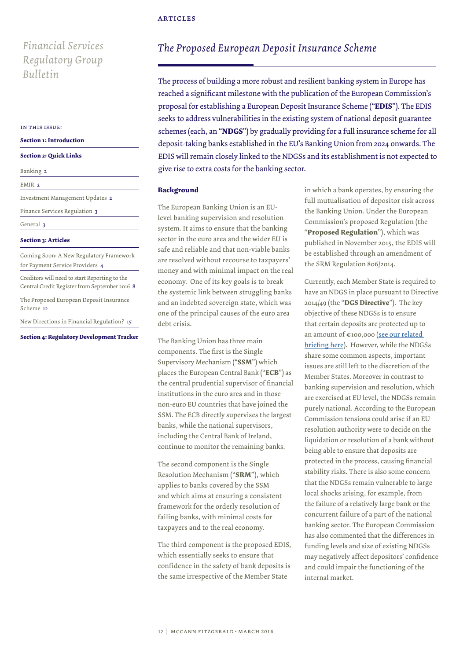# *Financial Services Regulatory Group*

#### in this issue:

**Section 1: Introduction**

#### **Section 2: Quick Links**

| Banking 2                                                                                      |
|------------------------------------------------------------------------------------------------|
| EMIR <sub>2</sub>                                                                              |
| Investment Management Updates 2                                                                |
| Finance Services Regulation 3                                                                  |
| General 3                                                                                      |
| <b>Section 3: Articles</b>                                                                     |
| Coming Soon: A New Regulatory Framework<br>for Payment Service Providers 4                     |
| Creditors will need to start Reporting to the<br>Central Credit Register from September 2016 8 |
| The Proposed European Deposit Insurance<br>Scheme 12                                           |
| New Directions in Financial Regulation? 15                                                     |

**Section 4: Regulatory Development Tracker**

# *The Proposed European Deposit Insurance Scheme*

*Bulletin* The process of building a more robust and resilient banking system in Europe has reached a significant milestone with the publication of the European Commission's proposal for establishing a European Deposit Insurance Scheme ("**EDIS**"). The EDIS seeks to address vulnerabilities in the existing system of national deposit guarantee schemes (each, an "**NDGS**") by gradually providing for a full insurance scheme for all deposit-taking banks established in the EU's Banking Union from 2024 onwards. The EDIS will remain closely linked to the NDGSs and its establishment is not expected to give rise to extra costs for the banking sector.

### **Background**

The European Banking Union is an EUlevel banking supervision and resolution system. It aims to ensure that the banking sector in the euro area and the wider EU is safe and reliable and that non-viable banks are resolved without recourse to taxpayers' money and with minimal impact on the real economy. One of its key goals is to break the systemic link between struggling banks and an indebted sovereign state, which was one of the principal causes of the euro area debt crisis.

The Banking Union has three main components. The first is the Single Supervisory Mechanism ("**SSM**") which places the European Central Bank ("**ECB**") as the central prudential supervisor of financial institutions in the euro area and in those non-euro EU countries that have joined the SSM. The ECB directly supervises the largest banks, while the national supervisors, including the Central Bank of Ireland, continue to monitor the remaining banks.

The second component is the Single Resolution Mechanism ("**SRM**"), which applies to banks covered by the SSM and which aims at ensuring a consistent framework for the orderly resolution of failing banks, with minimal costs for taxpayers and to the real economy.

The third component is the proposed EDIS, which essentially seeks to ensure that confidence in the safety of bank deposits is the same irrespective of the Member State

in which a bank operates, by ensuring the full mutualisation of depositor risk across the Banking Union. Under the European Commission's proposed Regulation (the "**Proposed Regulation**"), which was published in November 2015, the EDIS will be established through an amendment of the SRM Regulation 806/2014.

Currently, each Member State is required to have an NDGS in place pursuant to Directive 2014/49 (the "**DGS Directive**"). The key objective of these NDGSs is to ensure that certain deposits are protected up to an amount of €100,000 ([see our related](http://www.mccannfitzgerald.ie/McfgFiles/knowledge/6625-EU%20(Deposit%20Guarantee%20Schemes)%20Regulations%202015.pdf)  [briefing here\)](http://www.mccannfitzgerald.ie/McfgFiles/knowledge/6625-EU%20(Deposit%20Guarantee%20Schemes)%20Regulations%202015.pdf). However, while the NDGSs share some common aspects, important issues are still left to the discretion of the Member States. Moreover in contrast to banking supervision and resolution, which are exercised at EU level, the NDGSs remain purely national. According to the European Commission tensions could arise if an EU resolution authority were to decide on the liquidation or resolution of a bank without being able to ensure that deposits are protected in the process, causing financial stability risks. There is also some concern that the NDGSs remain vulnerable to large local shocks arising, for example, from the failure of a relatively large bank or the concurrent failure of a part of the national banking sector. The European Commission has also commented that the differences in funding levels and size of existing NDGSs may negatively affect depositors' confidence and could impair the functioning of the internal market.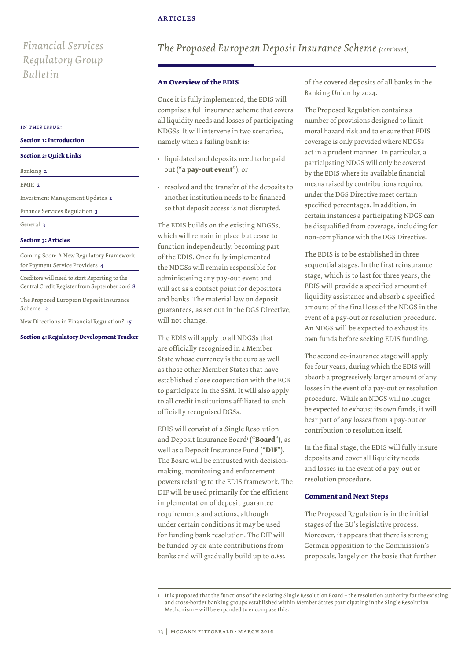# *Financial Services Regulatory Group Bulletin*

#### in this issue:

#### **Section 1: Introduction**

#### **Section 2: Quick Links**

EMIR<sub>2</sub>

Investment Management Updates 2

General 3

### **Section 3: Articles**

Coming Soon: A New Regulatory Framework for Payment Service Providers 4 Finance Services Regulation 3<br> **Section 3: Articles**<br>
Coming Soon: A New Regulatory Framewor<br>
for Payment Service Providers 4<br>
Creditors will need to start Reporting to the<br>
Central Credit Register from September 2016<br>
The

Creditors will need to start Reporting to the Central Credit Register from September 2016 8

The Proposed European Deposit Insurance Scheme 12

**Section 4: Regulatory Development Tracker**

# *The Proposed European Deposit Insurance Scheme (continued)*

### **An Overview of the EDIS**

Once it is fully implemented, the EDIS will comprise a full insurance scheme that covers all liquidity needs and losses of participating NDGSs. It will intervene in two scenarios, namely when a failing bank is:

- liquidated and deposits need to be paid out ("**a pay-out event**"); or
- resolved and the transfer of the deposits to another institution needs to be financed so that deposit access is not disrupted.

The EDIS builds on the existing NDGSs, which will remain in place but cease to function independently, becoming part of the EDIS. Once fully implemented the NDGSs will remain responsible for administering any pay-out event and will act as a contact point for depositors and banks. The material law on deposit guarantees, as set out in the DGS Directive, will not change.

The EDIS will apply to all NDGSs that are officially recognised in a Member State whose currency is the euro as well as those other Member States that have established close cooperation with the ECB to participate in the SSM. It will also apply to all credit institutions affiliated to such officially recognised DGSs.

EDIS will consist of a Single Resolution and Deposit Insurance Board<sup>1</sup> ("**Board**"), as well as a Deposit Insurance Fund ("**DIF**"). The Board will be entrusted with decisionmaking, monitoring and enforcement powers relating to the EDIS framework. The DIF will be used primarily for the efficient implementation of deposit guarantee requirements and actions, although under certain conditions it may be used for funding bank resolution. The DIF will be funded by ex-ante contributions from banks and will gradually build up to 0.8%

of the covered deposits of all banks in the Banking Union by 2024.

The Proposed Regulation contains a number of provisions designed to limit moral hazard risk and to ensure that EDIS coverage is only provided where NDGSs act in a prudent manner. In particular, a participating NDGS will only be covered by the EDIS where its available financial means raised by contributions required under the DGS Directive meet certain specified percentages. In addition, in certain instances a participating NDGS can be disqualified from coverage, including for non-compliance with the DGS Directive.

The EDIS is to be established in three sequential stages. In the first reinsurance stage, which is to last for three years, the EDIS will provide a specified amount of liquidity assistance and absorb a specified amount of the final loss of the NDGS in the event of a pay-out or resolution procedure. An NDGS will be expected to exhaust its own funds before seeking EDIS funding.

The second co-insurance stage will apply for four years, during which the EDIS will absorb a progressively larger amount of any losses in the event of a pay-out or resolution procedure. While an NDGS will no longer be expected to exhaust its own funds, it will bear part of any losses from a pay-out or contribution to resolution itself.

In the final stage, the EDIS will fully insure deposits and cover all liquidity needs and losses in the event of a pay-out or resolution procedure.

#### **Comment and Next Steps**

The Proposed Regulation is in the initial stages of the EU's legislative process. Moreover, it appears that there is strong German opposition to the Commission's proposals, largely on the basis that further

<sup>1</sup> It is proposed that the functions of the existing Single Resolution Board – the resolution authority for the existing and cross-border banking groups established within Member States participating in the Single Resolution Mechanism – will be expanded to encompass this.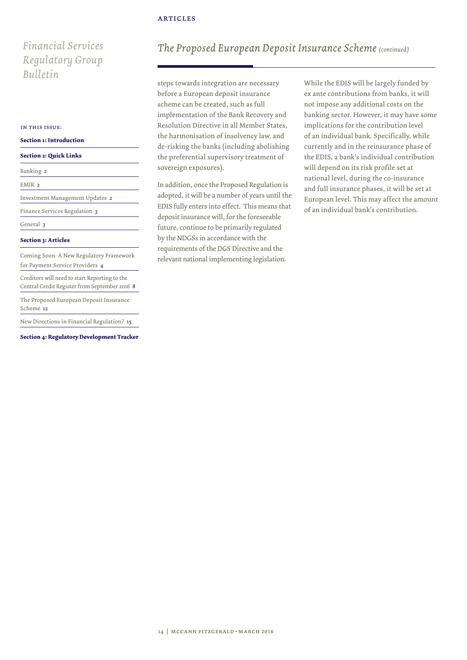# *Financial Services Regulatory Group Bulletin*

#### in this issue:

### **Section 1: Introduction**

#### **Section 2: Quick Links**

| Banking 2                                                                                      |
|------------------------------------------------------------------------------------------------|
| EMIR <sub>2</sub>                                                                              |
| Investment Management Updates 2                                                                |
| Finance Services Regulation 3                                                                  |
| General 3                                                                                      |
| <b>Section 3: Articles</b>                                                                     |
| Coming Soon: A New Regulatory Framework<br>for Payment Service Providers 4                     |
| Creditors will need to start Reporting to the<br>Central Credit Register from September 2016 8 |
| The Proposed European Deposit Insurance<br>Scheme 12                                           |
| New Directions in Financial Regulation? 15                                                     |

**Section 4: Regulatory Development Tracker**

# *The Proposed European Deposit Insurance Scheme (continued)*

steps towards integration are necessary before a European deposit insurance scheme can be created, such as full implementation of the Bank Recovery and Resolution Directive in all Member States, the harmonisation of insolvency law, and de-risking the banks (including abolishing the preferential supervisory treatment of sovereign exposures).

In addition, once the Proposed Regulation is adopted, it will be a number of years until the EDIS fully enters into effect. This means that deposit insurance will, for the foreseeable future, continue to be primarily regulated by the NDGSs in accordance with the requirements of the DGS Directive and the relevant national implementing legislation.

While the EDIS will be largely funded by ex ante contributions from banks, it will not impose any additional costs on the banking sector. However, it may have some implications for the contribution level of an individual bank. Specifically, while currently and in the reinsurance phase of the EDIS, a bank's individual contribution will depend on its risk profile set at national level, during the co-insurance and full insurance phases, it will be set at European level. This may affect the amount of an individual bank's contribution.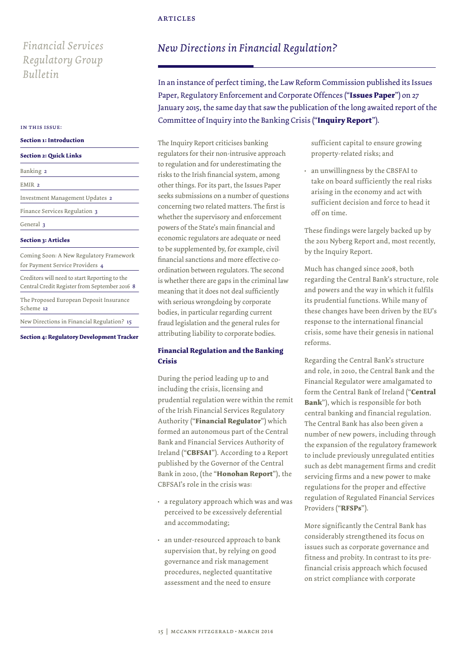# *Financial Services Regulatory Group Bulletin*

#### **Section 1: Introduction**

#### **Section 2: Quick Links**

| Banking 2                                                                                      |
|------------------------------------------------------------------------------------------------|
| EMIR <sub>2</sub>                                                                              |
| Investment Management Updates 2                                                                |
| Finance Services Regulation 3                                                                  |
| General 3                                                                                      |
| <b>Section 3: Articles</b>                                                                     |
| Coming Soon: A New Regulatory Framework<br>for Payment Service Providers 4                     |
| Creditors will need to start Reporting to the<br>Central Credit Register from September 2016 8 |
| The Proposed European Deposit Insurance<br>Scheme 12                                           |
| New Directions in Financial Regulation? 15                                                     |

### **Section 3: Articles**

**Section 4: Regulatory Development Tracker**

# *New Directions in Financial Regulation?*

In an instance of perfect timing, the Law Reform Commission published its Issues Paper, Regulatory Enforcement and Corporate Offences ("**Issues Paper**") on 27 January 2015, the same day that saw the publication of the long awaited report of the Committee of Inquiry into the Banking Crisis ("**Inquiry Report**"). in this issue:

> The Inquiry Report criticises banking regulators for their non-intrusive approach to regulation and for underestimating the risks to the Irish financial system, among other things. For its part, the Issues Paper seeks submissions on a number of questions concerning two related matters. The first is whether the supervisory and enforcement powers of the State's main financial and economic regulators are adequate or need to be supplemented by, for example, civil financial sanctions and more effective coordination between regulators. The second is whether there are gaps in the criminal law meaning that it does not deal sufficiently with serious wrongdoing by corporate bodies, in particular regarding current fraud legislation and the general rules for attributing liability to corporate bodies.

# **Financial Regulation and the Banking Crisis**

During the period leading up to and including the crisis, licensing and prudential regulation were within the remit of the Irish Financial Services Regulatory Authority ("**Financial Regulator**") which formed an autonomous part of the Central Bank and Financial Services Authority of Ireland ("**CBFSAI**"). According to a Report published by the Governor of the Central Bank in 2010, (the "**Honohan Report**"), the CBFSAI's role in the crisis was:

- a regulatory approach which was and was perceived to be excessively deferential and accommodating;
- an under-resourced approach to bank supervision that, by relying on good governance and risk management procedures, neglected quantitative assessment and the need to ensure

sufficient capital to ensure growing property-related risks; and

• an unwillingness by the CBSFAI to take on board sufficiently the real risks arising in the economy and act with sufficient decision and force to head it off on time.

These findings were largely backed up by the 2011 Nyberg Report and, most recently, by the Inquiry Report.

Much has changed since 2008, both regarding the Central Bank's structure, role and powers and the way in which it fulfils its prudential functions. While many of these changes have been driven by the EU's response to the international financial crisis, some have their genesis in national reforms.

Regarding the Central Bank's structure and role, in 2010, the Central Bank and the Financial Regulator were amalgamated to form the Central Bank of Ireland ("**Central Bank**"), which is responsible for both central banking and financial regulation. The Central Bank has also been given a number of new powers, including through the expansion of the regulatory framework to include previously unregulated entities such as debt management firms and credit servicing firms and a new power to make regulations for the proper and effective regulation of Regulated Financial Services Providers ("**RFSPs**").

More significantly the Central Bank has considerably strengthened its focus on issues such as corporate governance and fitness and probity. In contrast to its prefinancial crisis approach which focused on strict compliance with corporate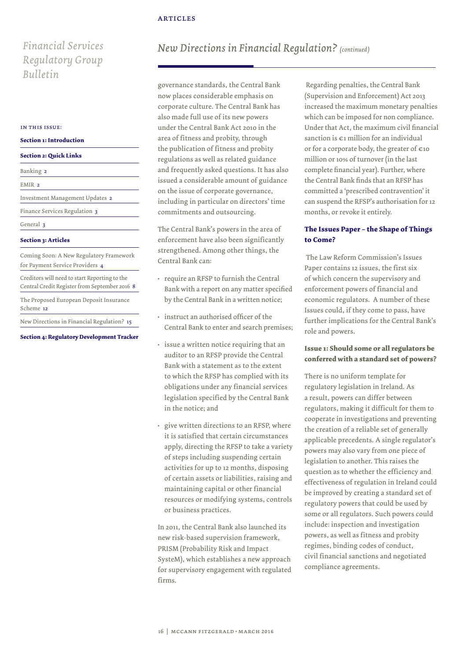# *Financial Services Regulatory Group Bulletin*

#### in this issue:

#### **Section 1: Introduction**

#### **Section 2: Quick Links**

| Banking 2                                                                                      |
|------------------------------------------------------------------------------------------------|
| EMIR <sub>2</sub>                                                                              |
| Investment Management Updates 2                                                                |
| Finance Services Regulation 3                                                                  |
| General 3                                                                                      |
| <b>Section 3: Articles</b>                                                                     |
| Coming Soon: A New Regulatory Framework<br>for Payment Service Providers 4                     |
| Creditors will need to start Reporting to the<br>Central Credit Register from September 2016 8 |
| The Proposed European Deposit Insurance<br>Scheme 12                                           |
| New Directions in Financial Regulation? 15                                                     |

### **Section 3: Articles**

**Section 4: Regulatory Development Tracker**

# *New Directions in Financial Regulation? (continued)*

governance standards, the Central Bank now places considerable emphasis on corporate culture. The Central Bank has also made full use of its new powers under the Central Bank Act 2010 in the area of fitness and probity, through the publication of fitness and probity regulations as well as related guidance and frequently asked questions. It has also issued a considerable amount of guidance on the issue of corporate governance, including in particular on directors' time commitments and outsourcing.

The Central Bank's powers in the area of enforcement have also been significantly strengthened. Among other things, the Central Bank can:

- require an RFSP to furnish the Central Bank with a report on any matter specified by the Central Bank in a written notice;
- instruct an authorised officer of the Central Bank to enter and search premises;
- issue a written notice requiring that an auditor to an RFSP provide the Central Bank with a statement as to the extent to which the RFSP has complied with its obligations under any financial services legislation specified by the Central Bank in the notice; and
- give written directions to an RFSP, where it is satisfied that certain circumstances apply, directing the RFSP to take a variety of steps including suspending certain activities for up to 12 months, disposing of certain assets or liabilities, raising and maintaining capital or other financial resources or modifying systems, controls or business practices.

In 2011, the Central Bank also launched its new risk-based supervision framework, PRISM (Probability Risk and Impact SysteM), which establishes a new approach for supervisory engagement with regulated firms.

 Regarding penalties, the Central Bank (Supervision and Enforcement) Act 2013 increased the maximum monetary penalties which can be imposed for non compliance. Under that Act, the maximum civil financial sanction is €1 million for an individual or for a corporate body, the greater of  $\epsilon$ 10 million or 10% of turnover (in the last complete financial year). Further, where the Central Bank finds that an RFSP has committed a 'prescribed contravention' it can suspend the RFSP's authorisation for 12 months, or revoke it entirely.

# **The Issues Paper – the Shape of Things to Come?**

 The Law Reform Commission's Issues Paper contains 12 issues, the first six of which concern the supervisory and enforcement powers of financial and economic regulators. A number of these Issues could, if they come to pass, have further implications for the Central Bank's role and powers.

# **Issue 1: Should some or all regulators be conferred with a standard set of powers?**

There is no uniform template for regulatory legislation in Ireland. As a result, powers can differ between regulators, making it difficult for them to cooperate in investigations and preventing the creation of a reliable set of generally applicable precedents. A single regulator's powers may also vary from one piece of legislation to another. This raises the question as to whether the efficiency and effectiveness of regulation in Ireland could be improved by creating a standard set of regulatory powers that could be used by some or all regulators. Such powers could include: inspection and investigation powers, as well as fitness and probity regimes, binding codes of conduct, civil financial sanctions and negotiated compliance agreements.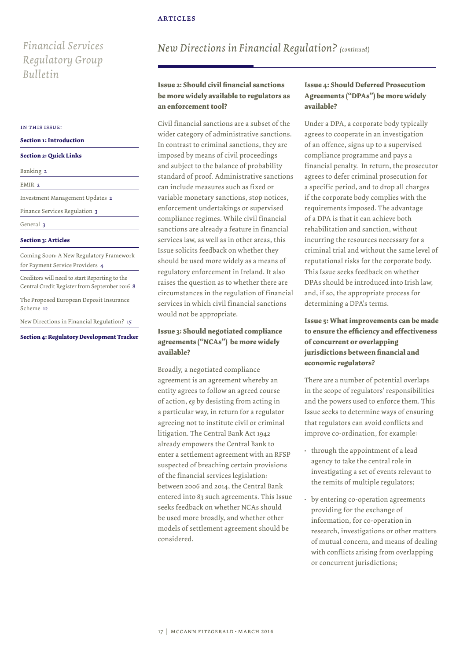# *Financial Services Regulatory Group Bulletin*

#### in this issue:

#### **Section 1: Introduction**

#### **Section 2: Quick Links**

| Banking 2                                                                                      |
|------------------------------------------------------------------------------------------------|
| EMIR <sub>2</sub>                                                                              |
| Investment Management Updates 2                                                                |
| Finance Services Regulation 3                                                                  |
| General 3                                                                                      |
| <b>Section 3: Articles</b>                                                                     |
| Coming Soon: A New Regulatory Framework<br>for Payment Service Providers 4                     |
| Creditors will need to start Reporting to the<br>Central Credit Register from September 2016 8 |
| The Proposed European Deposit Insurance<br>Scheme 12                                           |
| New Directions in Financial Regulation? 15                                                     |

#### **Section 3: Articles**

**Section 4: Regulatory Development Tracker**

# *New Directions in Financial Regulation? (continued)*

# **Issue 2: Should civil financial sanctions be more widely available to regulators as an enforcement tool?**

Civil financial sanctions are a subset of the wider category of administrative sanctions. In contrast to criminal sanctions, they are imposed by means of civil proceedings and subject to the balance of probability standard of proof. Administrative sanctions can include measures such as fixed or variable monetary sanctions, stop notices, enforcement undertakings or supervised compliance regimes. While civil financial sanctions are already a feature in financial services law, as well as in other areas, this Issue solicits feedback on whether they should be used more widely as a means of regulatory enforcement in Ireland. It also raises the question as to whether there are circumstances in the regulation of financial services in which civil financial sanctions would not be appropriate.

# **Issue 3: Should negotiated compliance agreements ("NCAs") be more widely available?**

Broadly, a negotiated compliance agreement is an agreement whereby an entity agrees to follow an agreed course of action, *eg* by desisting from acting in a particular way, in return for a regulator agreeing not to institute civil or criminal litigation. The Central Bank Act 1942 already empowers the Central Bank to enter a settlement agreement with an RFSP suspected of breaching certain provisions of the financial services legislation: between 2006 and 2014, the Central Bank entered into 83 such agreements. This Issue seeks feedback on whether NCAs should be used more broadly, and whether other models of settlement agreement should be considered.

# **Issue 4: Should Deferred Prosecution Agreements ("DPAs") be more widely available?**

Under a DPA, a corporate body typically agrees to cooperate in an investigation of an offence, signs up to a supervised compliance programme and pays a financial penalty. In return, the prosecutor agrees to defer criminal prosecution for a specific period, and to drop all charges if the corporate body complies with the requirements imposed. The advantage of a DPA is that it can achieve both rehabilitation and sanction, without incurring the resources necessary for a criminal trial and without the same level of reputational risks for the corporate body. This Issue seeks feedback on whether DPAs should be introduced into Irish law, and, if so, the appropriate process for determining a DPA's terms.

**Issue 5: What improvements can be made to ensure the efficiency and effectiveness of concurrent or overlapping jurisdictions between financial and economic regulators?**

There are a number of potential overlaps in the scope of regulators' responsibilities and the powers used to enforce them. This Issue seeks to determine ways of ensuring that regulators can avoid conflicts and improve co-ordination, for example:

- through the appointment of a lead agency to take the central role in investigating a set of events relevant to the remits of multiple regulators;
- by entering co-operation agreements providing for the exchange of information, for co-operation in research, investigations or other matters of mutual concern, and means of dealing with conflicts arising from overlapping or concurrent jurisdictions;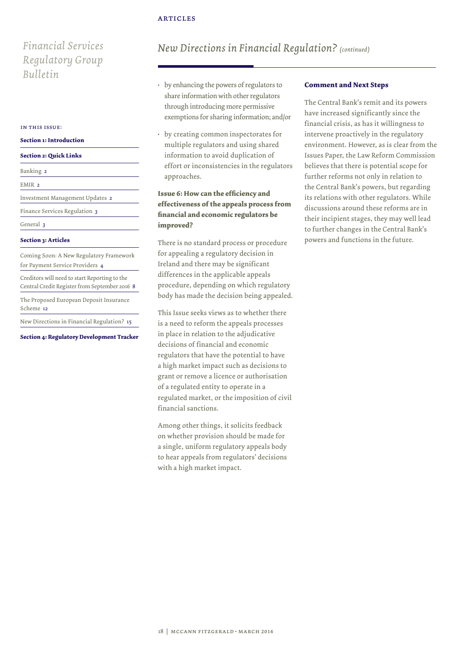# *Financial Services Regulatory Group Bulletin*

#### in this issue:

#### **Section 1: Introduction**

#### **Section 2: Quick Links**

| Banking<br>$\overline{a}$ |  |  |
|---------------------------|--|--|
| E٨                        |  |  |

Investment Management Updates 2

General 3

### **Section 3: Articles**

Coming Soon: A New Regulatory Framework for Payment Service Providers 4 Finance Services Regulation 3<br> **Section 3: Articles**<br>
Coming Soon: A New Regulatory Framewor<br>
for Payment Service Providers 4<br>
Creditors will need to start Reporting to the<br>
Central Credit Register from September 2016<br>
The

Creditors will need to start Reporting to the Central Credit Register from September 2016 8

The Proposed European Deposit Insurance Scheme 12

**Section 4: Regulatory Development Tracker**

# *New Directions in Financial Regulation? (continued)*

- by enhancing the powers of regulators to share information with other regulators through introducing more permissive exemptions for sharing information; and/or
- by creating common inspectorates for multiple regulators and using shared information to avoid duplication of effort or inconsistencies in the regulators approaches.

# **Issue 6: How can the efficiency and effectiveness of the appeals process from financial and economic regulators be improved?**

There is no standard process or procedure for appealing a regulatory decision in Ireland and there may be significant differences in the applicable appeals procedure, depending on which regulatory body has made the decision being appealed.

This Issue seeks views as to whether there is a need to reform the appeals processes in place in relation to the adjudicative decisions of financial and economic regulators that have the potential to have a high market impact such as decisions to grant or remove a licence or authorisation of a regulated entity to operate in a regulated market, or the imposition of civil financial sanctions.

Among other things, it solicits feedback on whether provision should be made for a single, uniform regulatory appeals body to hear appeals from regulators' decisions with a high market impact.

### **Comment and Next Steps**

The Central Bank's remit and its powers have increased significantly since the financial crisis, as has it willingness to intervene proactively in the regulatory environment. However, as is clear from the Issues Paper, the Law Reform Commission believes that there is potential scope for further reforms not only in relation to the Central Bank's powers, but regarding its relations with other regulators. While discussions around these reforms are in their incipient stages, they may well lead to further changes in the Central Bank's powers and functions in the future.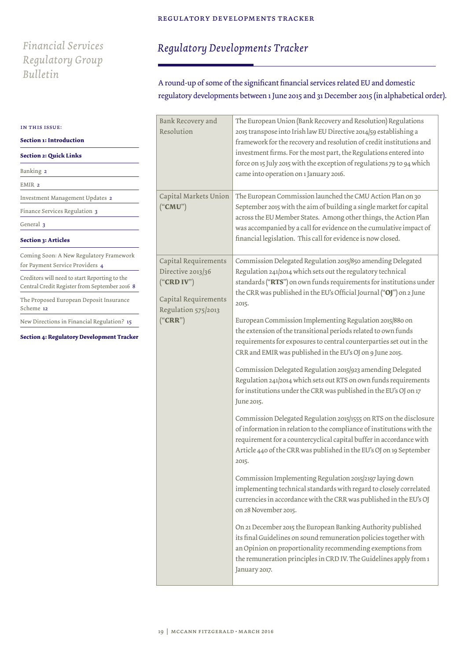# *Financial Services Regulatory Group Bulletin*

# *Regulatory Developments Tracker*

# A round-up of some of the significant financial services related EU and domestic regulatory developments between 1 June 2015 and 31 December 2015 (in alphabetical order).

| IN THIS ISSUE:                                                                                 | Bank Recovery and<br>Resolution                                                                                                                                                                                                                                                                    | The European Union (Bank Recovery and Resolution) Regulations<br>2015 transpose into Irish law EU Directive 2014/59 establishing a                                                                                                                                                     |  |
|------------------------------------------------------------------------------------------------|----------------------------------------------------------------------------------------------------------------------------------------------------------------------------------------------------------------------------------------------------------------------------------------------------|----------------------------------------------------------------------------------------------------------------------------------------------------------------------------------------------------------------------------------------------------------------------------------------|--|
| Section 1: Introduction                                                                        |                                                                                                                                                                                                                                                                                                    | framework for the recovery and resolution of credit institutions and                                                                                                                                                                                                                   |  |
| <b>Section 2: Quick Links</b>                                                                  |                                                                                                                                                                                                                                                                                                    | investment firms. For the most part, the Regulations entered into                                                                                                                                                                                                                      |  |
| Banking 2                                                                                      |                                                                                                                                                                                                                                                                                                    | force on 15 July 2015 with the exception of regulations 79 to 94 which<br>came into operation on 1 January 2016.                                                                                                                                                                       |  |
| EMIR <sub>2</sub>                                                                              |                                                                                                                                                                                                                                                                                                    |                                                                                                                                                                                                                                                                                        |  |
| Investment Management Updates 2                                                                | Capital Markets Union                                                                                                                                                                                                                                                                              | The European Commission launched the CMU Action Plan on 30<br>September 2015 with the aim of building a single market for capital<br>across the EU Member States. Among other things, the Action Plan                                                                                  |  |
| Finance Services Regulation 3                                                                  | ("CMU")                                                                                                                                                                                                                                                                                            |                                                                                                                                                                                                                                                                                        |  |
| General 3                                                                                      |                                                                                                                                                                                                                                                                                                    | was accompanied by a call for evidence on the cumulative impact of                                                                                                                                                                                                                     |  |
| Section 3: Articles                                                                            |                                                                                                                                                                                                                                                                                                    | financial legislation. This call for evidence is now closed.                                                                                                                                                                                                                           |  |
| Coming Soon: A New Regulatory Framework<br>for Payment Service Providers 4                     | Capital Requirements                                                                                                                                                                                                                                                                               | Commission Delegated Regulation 2015/850 amending Delegated<br>Regulation 241/2014 which sets out the regulatory technical<br>standards ("RTS") on own funds requirements for institutions under<br>the CRR was published in the EU's Official Journal ("OJ") on 2 June<br>2015.       |  |
| Creditors will need to start Reporting to the<br>Central Credit Register from September 2016 8 | Directive 2013/36<br>("CRD IV")<br>Capital Requirements<br>Regulation 575/2013                                                                                                                                                                                                                     |                                                                                                                                                                                                                                                                                        |  |
| The Proposed European Deposit Insurance<br>Scheme 12                                           |                                                                                                                                                                                                                                                                                                    |                                                                                                                                                                                                                                                                                        |  |
| New Directions in Financial Regulation? 15                                                     | ("CRR")                                                                                                                                                                                                                                                                                            | European Commission Implementing Regulation 2015/880 on                                                                                                                                                                                                                                |  |
| Section 4: Regulatory Development Tracker                                                      | the extension of the transitional periods related to own funds<br>requirements for exposures to central counterparties set out in the<br>CRR and EMIR was published in the EU's OJ on 9 June 2015.                                                                                                 |                                                                                                                                                                                                                                                                                        |  |
|                                                                                                | Commission Delegated Regulation 2015/923 amending Delegated<br>Regulation 241/2014 which sets out RTS on own funds requirements<br>for institutions under the CRR was published in the EU's OJ on 17<br>June 2015.                                                                                 |                                                                                                                                                                                                                                                                                        |  |
|                                                                                                | Commission Delegated Regulation 2015/1555 on RTS on the disclosure<br>of information in relation to the compliance of institutions with the<br>requirement for a countercyclical capital buffer in accordance with<br>Article 440 of the CRR was published in the EU's OJ on 19 September<br>2015. |                                                                                                                                                                                                                                                                                        |  |
|                                                                                                |                                                                                                                                                                                                                                                                                                    | Commission Implementing Regulation 2015/2197 laying down<br>implementing technical standards with regard to closely correlated<br>currencies in accordance with the CRR was published in the EU's OJ<br>on 28 November 2015.                                                           |  |
|                                                                                                |                                                                                                                                                                                                                                                                                                    | On 21 December 2015 the European Banking Authority published<br>its final Guidelines on sound remuneration policies together with<br>an Opinion on proportionality recommending exemptions from<br>the remuneration principles in CRD IV. The Guidelines apply from 1<br>January 2017. |  |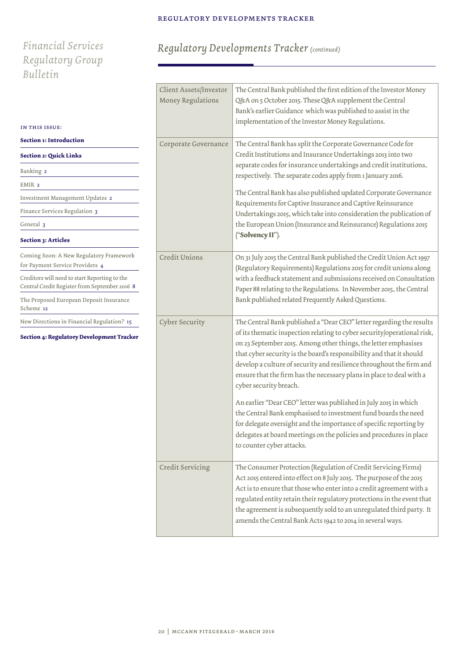*Regulatory Developments Tracker (continued)*

# *Financial Services Regulatory Group Bulletin*

| IN THIS ISSUE:                                                                                 | Client Assets/Investor<br>Money Regulations | The Central Bank published the first edition of the Investor Money<br>Q&A on 5 October 2015. These Q&A supplement the Central<br>Bank's earlier Guidance which was published to assist in the<br>implementation of the Investor Money Regulations.                                                                                                                                                                                                                                                                                                                                                                                                                                                                                                                                   |
|------------------------------------------------------------------------------------------------|---------------------------------------------|--------------------------------------------------------------------------------------------------------------------------------------------------------------------------------------------------------------------------------------------------------------------------------------------------------------------------------------------------------------------------------------------------------------------------------------------------------------------------------------------------------------------------------------------------------------------------------------------------------------------------------------------------------------------------------------------------------------------------------------------------------------------------------------|
| Section 1: Introduction<br><b>Section 2: Quick Links</b>                                       | Corporate Governance                        | The Central Bank has split the Corporate Governance Code for<br>Credit Institutions and Insurance Undertakings 2013 into two                                                                                                                                                                                                                                                                                                                                                                                                                                                                                                                                                                                                                                                         |
| Banking 2                                                                                      |                                             | separate codes for insurance undertakings and credit institutions,<br>respectively. The separate codes apply from 1 January 2016.                                                                                                                                                                                                                                                                                                                                                                                                                                                                                                                                                                                                                                                    |
| EMIR 2                                                                                         |                                             |                                                                                                                                                                                                                                                                                                                                                                                                                                                                                                                                                                                                                                                                                                                                                                                      |
| Investment Management Updates 2                                                                |                                             | The Central Bank has also published updated Corporate Governance                                                                                                                                                                                                                                                                                                                                                                                                                                                                                                                                                                                                                                                                                                                     |
| Finance Services Regulation 3                                                                  |                                             | Requirements for Captive Insurance and Captive Reinsurance<br>Undertakings 2015, which take into consideration the publication of                                                                                                                                                                                                                                                                                                                                                                                                                                                                                                                                                                                                                                                    |
| General 3                                                                                      |                                             | the European Union (Insurance and Reinsurance) Regulations 2015                                                                                                                                                                                                                                                                                                                                                                                                                                                                                                                                                                                                                                                                                                                      |
| Section 3: Articles                                                                            |                                             | ("Solvency II").                                                                                                                                                                                                                                                                                                                                                                                                                                                                                                                                                                                                                                                                                                                                                                     |
| Coming Soon: A New Regulatory Framework<br>for Payment Service Providers 4                     | Credit Unions                               | On 31 July 2015 the Central Bank published the Credit Union Act 1997<br>(Regulatory Requirements) Regulations 2015 for credit unions along                                                                                                                                                                                                                                                                                                                                                                                                                                                                                                                                                                                                                                           |
| Creditors will need to start Reporting to the<br>Central Credit Register from September 2016 8 |                                             | with a feedback statement and submissions received on Consultation<br>Paper 88 relating to the Regulations. In November 2015, the Central                                                                                                                                                                                                                                                                                                                                                                                                                                                                                                                                                                                                                                            |
| The Proposed European Deposit Insurance<br>Scheme 12                                           |                                             | Bank published related Frequently Asked Questions.                                                                                                                                                                                                                                                                                                                                                                                                                                                                                                                                                                                                                                                                                                                                   |
| New Directions in Financial Regulation? 15<br>Section 4: Regulatory Development Tracker        | Cyber Security                              | The Central Bank published a "Dear CEO" letter regarding the results<br>of its thematic inspection relating to cyber security/operational risk,<br>on 23 September 2015. Among other things, the letter emphasises<br>that cyber security is the board's responsibility and that it should<br>develop a culture of security and resilience throughout the firm and<br>ensure that the firm has the necessary plans in place to deal with a<br>cyber security breach.<br>An earlier "Dear CEO" letter was published in July 2015 in which<br>the Central Bank emphasised to investment fund boards the need<br>for delegate oversight and the importance of specific reporting by<br>delegates at board meetings on the policies and procedures in place<br>to counter cyber attacks. |
|                                                                                                | Credit Servicing                            | The Consumer Protection (Regulation of Credit Servicing Firms)<br>Act 2015 entered into effect on 8 July 2015. The purpose of the 2015<br>Act is to ensure that those who enter into a credit agreement with a<br>regulated entity retain their regulatory protections in the event that<br>the agreement is subsequently sold to an unregulated third party. It<br>amends the Central Bank Acts 1942 to 2014 in several ways.                                                                                                                                                                                                                                                                                                                                                       |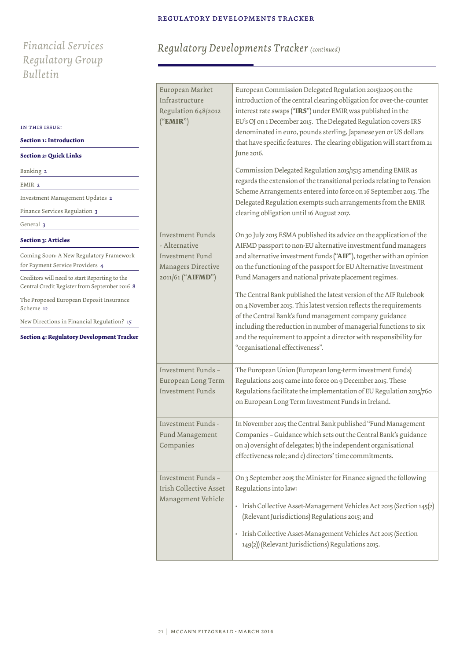# *Financial Services Regulatory Group Bulletin*

| Regulatory Developments Tracker (continued) |  |  |  |  |
|---------------------------------------------|--|--|--|--|
|---------------------------------------------|--|--|--|--|

| IN THIS ISSUE:<br>Section 1: Introduction<br><b>Section 2: Quick Links</b><br>Banking 2<br>EMIR <sub>2</sub> | European Market<br>Infrastructure<br>Regulation 648/2012<br>("EMIR") | European Commission Delegated Regulation 2015/2205 on the<br>introduction of the central clearing obligation for over-the-counter<br>interest rate swaps ("IRS") under EMIR was published in the<br>EU's OJ on 1 December 2015. The Delegated Regulation covers IRS<br>denominated in euro, pounds sterling, Japanese yen or US dollars<br>that have specific features. The clearing obligation will start from 21<br>June 2016.<br>Commission Delegated Regulation 2015/1515 amending EMIR as<br>regards the extension of the transitional periods relating to Pension<br>Scheme Arrangements entered into force on 16 September 2015. The |
|--------------------------------------------------------------------------------------------------------------|----------------------------------------------------------------------|---------------------------------------------------------------------------------------------------------------------------------------------------------------------------------------------------------------------------------------------------------------------------------------------------------------------------------------------------------------------------------------------------------------------------------------------------------------------------------------------------------------------------------------------------------------------------------------------------------------------------------------------|
| Investment Management Updates 2                                                                              |                                                                      | Delegated Regulation exempts such arrangements from the EMIR                                                                                                                                                                                                                                                                                                                                                                                                                                                                                                                                                                                |
| Finance Services Regulation 3                                                                                |                                                                      | clearing obligation until 16 August 2017.                                                                                                                                                                                                                                                                                                                                                                                                                                                                                                                                                                                                   |
| General 3                                                                                                    |                                                                      |                                                                                                                                                                                                                                                                                                                                                                                                                                                                                                                                                                                                                                             |
| Section 3: Articles                                                                                          | <b>Investment Funds</b><br>- Alternative                             | On 30 July 2015 ESMA published its advice on the application of the<br>AIFMD passport to non-EU alternative investment fund managers                                                                                                                                                                                                                                                                                                                                                                                                                                                                                                        |
| Coming Soon: A New Regulatory Framework<br>for Payment Service Providers 4                                   | <b>Investment Fund</b><br>Managers Directive                         | and alternative investment funds ("AIF"), together with an opinion<br>on the functioning of the passport for EU Alternative Investment                                                                                                                                                                                                                                                                                                                                                                                                                                                                                                      |
| Creditors will need to start Reporting to the<br>Central Credit Register from September 2016 8               | 2011/61 ("AIFMD")                                                    | Fund Managers and national private placement regimes.<br>The Central Bank published the latest version of the AIF Rulebook<br>on 4 November 2015. This latest version reflects the requirements<br>of the Central Bank's fund management company guidance<br>including the reduction in number of managerial functions to six<br>and the requirement to appoint a director with responsibility for<br>"organisational effectiveness".                                                                                                                                                                                                       |
| The Proposed European Deposit Insurance<br>Scheme 12                                                         |                                                                      |                                                                                                                                                                                                                                                                                                                                                                                                                                                                                                                                                                                                                                             |
| New Directions in Financial Regulation? 15<br>Section 4: Regulatory Development Tracker                      |                                                                      |                                                                                                                                                                                                                                                                                                                                                                                                                                                                                                                                                                                                                                             |
|                                                                                                              | Investment Funds -<br>European Long Term<br><b>Investment Funds</b>  | The European Union (European long-term investment funds)<br>Regulations 2015 came into force on 9 December 2015. These<br>Regulations facilitate the implementation of EU Regulation 2015/760<br>on European Long Term Investment Funds in Ireland.                                                                                                                                                                                                                                                                                                                                                                                         |
|                                                                                                              | Investment Funds -<br>Fund Management<br>Companies                   | In November 2015 the Central Bank published "Fund Management<br>Companies - Guidance which sets out the Central Bank's guidance<br>on a) oversight of delegates; b) the independent organisational<br>effectiveness role; and c) directors' time commitments.                                                                                                                                                                                                                                                                                                                                                                               |
|                                                                                                              | Investment Funds -<br>Irish Collective Asset<br>Management Vehicle   | On 3 September 2015 the Minister for Finance signed the following<br>Regulations into law:<br>· Irish Collective Asset-Management Vehicles Act 2015 (Section 145(2)<br>(Relevant Jurisdictions) Regulations 2015; and<br>Irish Collective Asset-Management Vehicles Act 2015 (Section<br>149(2)) (Relevant Jurisdictions) Regulations 2015.                                                                                                                                                                                                                                                                                                 |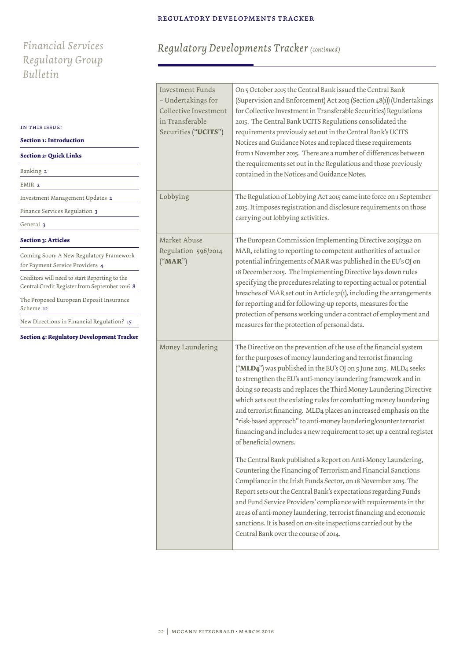# *Financial Services Regulatory Group Bulletin*

# *Regulatory Developments Tracker (continued)*

| IN THIS ISSUE:<br>Section 1: Introduction<br><b>Section 2: Quick Links</b><br>Banking 2<br>EMIR <sub>2</sub> | <b>Investment Funds</b><br>- Undertakings for<br>Collective Investment<br>in Transferable<br>Securities ("UCITS") | On 5 October 2015 the Central Bank issued the Central Bank<br>(Supervision and Enforcement) Act 2013 (Section 48(1)) (Undertakings<br>for Collective Investment in Transferable Securities) Regulations<br>2015. The Central Bank UCITS Regulations consolidated the<br>requirements previously set out in the Central Bank's UCITS<br>Notices and Guidance Notes and replaced these requirements<br>from 1 November 2015. There are a number of differences between<br>the requirements set out in the Regulations and those previously<br>contained in the Notices and Guidance Notes.                                                                                                                                                                                                                                                                                                                                                                                                                                                                                                                                                                                                 |
|--------------------------------------------------------------------------------------------------------------|-------------------------------------------------------------------------------------------------------------------|------------------------------------------------------------------------------------------------------------------------------------------------------------------------------------------------------------------------------------------------------------------------------------------------------------------------------------------------------------------------------------------------------------------------------------------------------------------------------------------------------------------------------------------------------------------------------------------------------------------------------------------------------------------------------------------------------------------------------------------------------------------------------------------------------------------------------------------------------------------------------------------------------------------------------------------------------------------------------------------------------------------------------------------------------------------------------------------------------------------------------------------------------------------------------------------|
| Investment Management Updates 2                                                                              | Lobbying                                                                                                          | The Regulation of Lobbying Act 2015 came into force on 1 September                                                                                                                                                                                                                                                                                                                                                                                                                                                                                                                                                                                                                                                                                                                                                                                                                                                                                                                                                                                                                                                                                                                       |
| Finance Services Regulation 3                                                                                |                                                                                                                   | 2015. It imposes registration and disclosure requirements on those<br>carrying out lobbying activities.                                                                                                                                                                                                                                                                                                                                                                                                                                                                                                                                                                                                                                                                                                                                                                                                                                                                                                                                                                                                                                                                                  |
| General 3                                                                                                    |                                                                                                                   |                                                                                                                                                                                                                                                                                                                                                                                                                                                                                                                                                                                                                                                                                                                                                                                                                                                                                                                                                                                                                                                                                                                                                                                          |
| <b>Section 3: Articles</b>                                                                                   | Market Abuse                                                                                                      | The European Commission Implementing Directive 2015/2392 on                                                                                                                                                                                                                                                                                                                                                                                                                                                                                                                                                                                                                                                                                                                                                                                                                                                                                                                                                                                                                                                                                                                              |
| Coming Soon: A New Regulatory Framework<br>for Payment Service Providers 4                                   | Regulation 596/2014<br>("MAR")                                                                                    | MAR, relating to reporting to competent authorities of actual or<br>potential infringements of MAR was published in the EU's OJ on<br>18 December 2015. The Implementing Directive lays down rules<br>specifying the procedures relating to reporting actual or potential<br>breaches of MAR set out in Article 32(1), including the arrangements<br>for reporting and for following-up reports, measures for the<br>protection of persons working under a contract of employment and                                                                                                                                                                                                                                                                                                                                                                                                                                                                                                                                                                                                                                                                                                    |
| Creditors will need to start Reporting to the<br>Central Credit Register from September 2016 8               |                                                                                                                   |                                                                                                                                                                                                                                                                                                                                                                                                                                                                                                                                                                                                                                                                                                                                                                                                                                                                                                                                                                                                                                                                                                                                                                                          |
| The Proposed European Deposit Insurance<br>Scheme 12                                                         |                                                                                                                   |                                                                                                                                                                                                                                                                                                                                                                                                                                                                                                                                                                                                                                                                                                                                                                                                                                                                                                                                                                                                                                                                                                                                                                                          |
| New Directions in Financial Regulation? 15                                                                   |                                                                                                                   | measures for the protection of personal data.                                                                                                                                                                                                                                                                                                                                                                                                                                                                                                                                                                                                                                                                                                                                                                                                                                                                                                                                                                                                                                                                                                                                            |
| Section 4: Regulatory Development Tracker                                                                    | Money Laundering                                                                                                  | The Directive on the prevention of the use of the financial system<br>for the purposes of money laundering and terrorist financing<br>("MLD4") was published in the EU's OJ on 5 June 2015. MLD4 seeks<br>to strengthen the EU's anti-money laundering framework and in<br>doing so recasts and replaces the Third Money Laundering Directive<br>which sets out the existing rules for combatting money laundering<br>and terrorist financing. MLD4 places an increased emphasis on the<br>"risk-based approach" to anti-money laundering/counter terrorist<br>financing and includes a new requirement to set up a central register<br>of beneficial owners.<br>The Central Bank published a Report on Anti-Money Laundering,<br>Countering the Financing of Terrorism and Financial Sanctions<br>Compliance in the Irish Funds Sector, on 18 November 2015. The<br>Report sets out the Central Bank's expectations regarding Funds<br>and Fund Service Providers' compliance with requirements in the<br>areas of anti-money laundering, terrorist financing and economic<br>sanctions. It is based on on-site inspections carried out by the<br>Central Bank over the course of 2014. |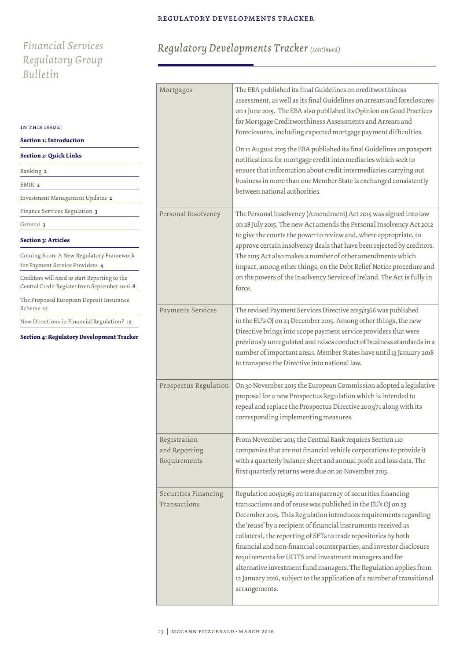# *Financial Services Regulatory Group Bulletin*

| IN THIS ISSUE:                                                                                 |         |
|------------------------------------------------------------------------------------------------|---------|
| Section 1: Introduction                                                                        |         |
| <b>Section 2: Quick Links</b>                                                                  |         |
| Banking 2                                                                                      |         |
| EMIR <sub>2</sub>                                                                              |         |
| Investment Management Updates 2                                                                |         |
| Finance Services Regulation 3                                                                  | Person  |
| General 3                                                                                      |         |
| <b>Section 3: Articles</b>                                                                     |         |
| Coming Soon: A New Regulatory Framework<br>for Payment Service Providers 4                     |         |
| Creditors will need to start Reporting to the<br>Central Credit Register from September 2016 8 |         |
| The Proposed European Deposit Insurance<br>Scheme 12                                           | Payme   |
| New Directions in Financial Regulation? 15                                                     |         |
| <b>Section 4: Regulatory Development Tracker</b>                                               |         |
|                                                                                                |         |
|                                                                                                |         |
|                                                                                                |         |
|                                                                                                | Prospe  |
|                                                                                                |         |
|                                                                                                |         |
|                                                                                                | Regist: |
|                                                                                                | and Re  |
|                                                                                                | Requir  |
|                                                                                                |         |
|                                                                                                | Securi  |
|                                                                                                | Transa  |
|                                                                                                |         |
|                                                                                                |         |
|                                                                                                |         |

# *Regulatory Developments Tracker (continued)*

| Mortgages                                     | The EBA published its final Guidelines on creditworthiness<br>assessment, as well as its final Guidelines on arrears and foreclosures<br>on 1 June 2015. The EBA also published its Opinion on Good Practices<br>for Mortgage Creditworthiness Assessments and Arrears and<br>Foreclosures, including expected mortgage payment difficulties.<br>On 11 August 2015 the EBA published its final Guidelines on passport<br>notifications for mortgage credit intermediaries which seek to<br>ensure that information about credit intermediaries carrying out<br>business in more than one Member State is exchanged consistently<br>between national authorities. |
|-----------------------------------------------|------------------------------------------------------------------------------------------------------------------------------------------------------------------------------------------------------------------------------------------------------------------------------------------------------------------------------------------------------------------------------------------------------------------------------------------------------------------------------------------------------------------------------------------------------------------------------------------------------------------------------------------------------------------|
| Personal Insolvency                           | The Personal Insolvency (Amendment) Act 2015 was signed into law<br>on 28 July 2015. The new Act amends the Personal Insolvency Act 2012<br>to give the courts the power to review and, where appropriate, to<br>approve certain insolvency deals that have been rejected by creditors.<br>The 2015 Act also makes a number of other amendments which<br>impact, among other things, on the Debt Relief Notice procedure and<br>on the powers of the Insolvency Service of Ireland. The Act is fully in<br>force.                                                                                                                                                |
| Payments Services                             | The revised Payment Services Directive 2015/2366 was published<br>in the EU's OJ on 23 December 2015. Among other things, the new<br>Directive brings into scope payment service providers that were<br>previously unregulated and raises conduct of business standards in a<br>number of important areas. Member States have until 13 January 2018<br>to transpose the Directive into national law.                                                                                                                                                                                                                                                             |
| Prospectus Regulation                         | On 30 November 2015 the European Commission adopted a legislative<br>proposal for a new Prospectus Regulation which is intended to<br>repeal and replace the Prospectus Directive 2003/71 along with its<br>corresponding implementing measures.                                                                                                                                                                                                                                                                                                                                                                                                                 |
| Registration<br>and Reporting<br>Requirements | From November 2015 the Central Bank requires Section 110<br>companies that are not financial vehicle corporations to provide it<br>with a quarterly balance sheet and annual profit and loss data. The<br>first quarterly returns were due on 20 November 2015.                                                                                                                                                                                                                                                                                                                                                                                                  |
| Securities Financing<br>Transactions          | Regulation 2015/2365 on transparency of securities financing<br>transactions and of reuse was published in the EU's OJ on 23<br>December 2015. This Regulation introduces requirements regarding<br>the 'reuse' by a recipient of financial instruments received as<br>collateral, the reporting of SFTs to trade repositories by both<br>financial and non-financial counterparties, and investor disclosure<br>requirements for UCITS and investment managers and for<br>alternative investment fund managers. The Regulation applies from<br>12 January 2016, subject to the application of a number of transitional<br>arrangements.                         |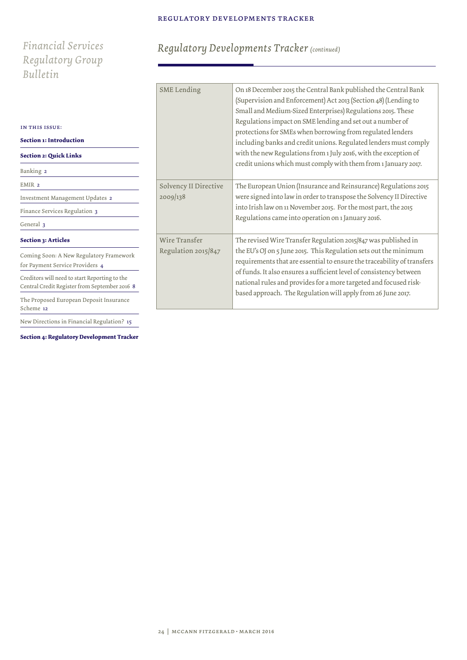# *Financial Services Regulatory Group Bulletin*

| IN THIS ISSUE:                                                                                 |                       |
|------------------------------------------------------------------------------------------------|-----------------------|
| <b>Section 1: Introduction</b>                                                                 |                       |
| <b>Section 2: Quick Links</b>                                                                  |                       |
| Banking 2                                                                                      |                       |
| EMIR <sub>2</sub>                                                                              | Solvency II Directive |
| Investment Management Updates 2                                                                | 2009/138              |
| Finance Services Regulation 3                                                                  |                       |
| General 3                                                                                      |                       |
| <b>Section 3: Articles</b>                                                                     | Wire Transfer         |
| Coming Soon: A New Regulatory Framework<br>for Payment Service Providers 4                     | Regulation 2015/847   |
| Creditors will need to start Reporting to the<br>Central Credit Register from September 2016 8 |                       |
| The Proposed European Deposit Insurance<br>Scheme 12                                           |                       |
| New Directions in Financial Regulation? 15                                                     |                       |

**Section 4: Regulatory Development Tracker**

# *Regulatory Developments Tracker (continued)*

| <b>SME</b> Lending                   | On 18 December 2015 the Central Bank published the Central Bank<br>(Supervision and Enforcement) Act 2013 (Section 48) (Lending to<br>Small and Medium-Sized Enterprises) Regulations 2015. These<br>Regulations impact on SME lending and set out a number of<br>protections for SMEs when borrowing from regulated lenders<br>including banks and credit unions. Regulated lenders must comply<br>with the new Regulations from 1 July 2016, with the exception of<br>credit unions which must comply with them from 1 January 2017. |
|--------------------------------------|----------------------------------------------------------------------------------------------------------------------------------------------------------------------------------------------------------------------------------------------------------------------------------------------------------------------------------------------------------------------------------------------------------------------------------------------------------------------------------------------------------------------------------------|
| Solvency II Directive<br>2009/138    | The European Union (Insurance and Reinsurance) Regulations 2015<br>were signed into law in order to transpose the Solvency II Directive<br>into Irish law on 11 November 2015. For the most part, the 2015<br>Regulations came into operation on 1 January 2016.                                                                                                                                                                                                                                                                       |
| Wire Transfer<br>Regulation 2015/847 | The revised Wire Transfer Regulation 2015/847 was published in<br>the EU's OJ on 5 June 2015. This Regulation sets out the minimum<br>requirements that are essential to ensure the traceability of transfers<br>of funds. It also ensures a sufficient level of consistency between<br>national rules and provides for a more targeted and focused risk-<br>based approach. The Regulation will apply from 26 June 2017.                                                                                                              |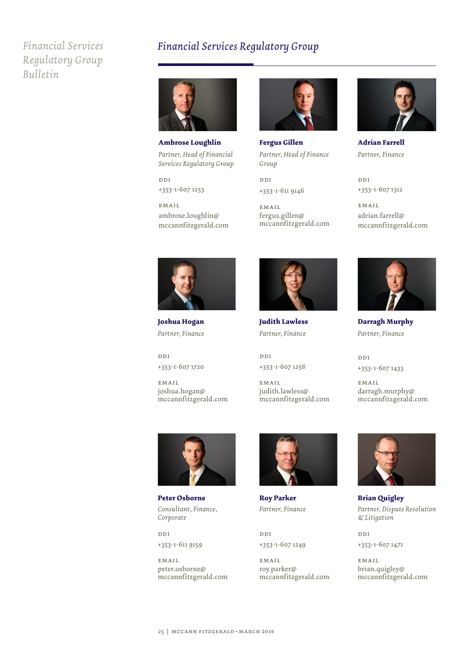# *Financial Services Regulatory Group Bulletin*

# *Financial Services Regulatory Group*



**Ambrose Loughlin** *Partner, Head of Financial Services Regulatory Group*

ddi +353-1-607 1253

EM ATT. ambrose.loughlin@ mccannfitzgerald.com



**Fergus Gillen** *Partner, Head of Finance Group*

ddi +353-1-611 9146

**EMAIL** fergus.gillen@ mccannfitzgerald.com



**Adrian Farrell** *Partner, Finance*

ddi +353-1-607 1312

EM ATT. adrian.farrell@ mccannfitzgerald.com



**Joshua Hogan** *Partner, Finance*

ddi +353-1-607 1720

**EMAIL** joshua.hogan@ mccannfitzgerald.com



**Judith Lawless** *Partner, Finance*

ddi +353-1-607 1256

email judith.lawless@ mccannfitzgerald.com



**Darragh Murphy** *Partner, Finance*

ndi +353-1-607 1433

**EMAIL** darragh.murphy@ mccannfitzgerald.com



**Peter Osborne** *Consultant, Finance, Corporate*

ddi +353-1-611 9159

EMAIL peter.osborne@ mccannfitzgerald.com



**Roy Parker** *Partner, Finance*

ddi +353-1-607 1249

**EMAIL** roy.parker@ mccannfitzgerald.com



**Brian Quigley** *Partner, Dispute Resolution & Litigation*

ddi +353-1-607 1471

**EMAIL** brian.quigley@ mccannfitzgerald.com